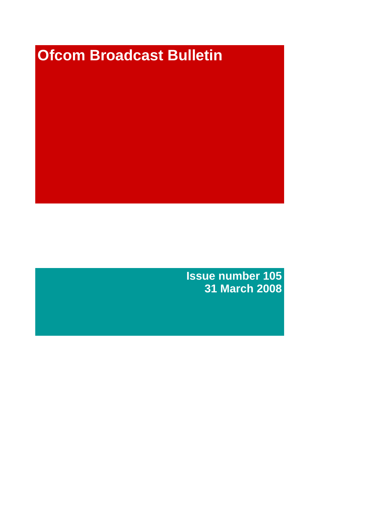# **Ofcom Broadcast Bulletin**

**Issue number 105 31 March 2008**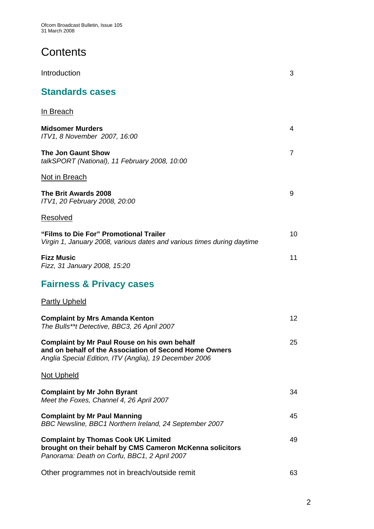Ofcom Broadcast Bulletin, Issue 105 31 March 2008

## **Contents**

| Introduction                                                                                                                                                            | 3                 |
|-------------------------------------------------------------------------------------------------------------------------------------------------------------------------|-------------------|
| <b>Standards cases</b>                                                                                                                                                  |                   |
| <u>In Breach</u>                                                                                                                                                        |                   |
| <b>Midsomer Murders</b><br>ITV1, 8 November 2007, 16:00                                                                                                                 | 4                 |
| <b>The Jon Gaunt Show</b><br>talkSPORT (National), 11 February 2008, 10:00                                                                                              | $\overline{7}$    |
| <b>Not in Breach</b>                                                                                                                                                    |                   |
| The Brit Awards 2008<br>ITV1, 20 February 2008, 20:00                                                                                                                   | 9                 |
| Resolved                                                                                                                                                                |                   |
| "Films to Die For" Promotional Trailer<br>Virgin 1, January 2008, various dates and various times during daytime                                                        | 10 <sup>1</sup>   |
| <b>Fizz Music</b><br>Fizz, 31 January 2008, 15:20                                                                                                                       | 11                |
| <b>Fairness &amp; Privacy cases</b>                                                                                                                                     |                   |
| <b>Partly Upheld</b>                                                                                                                                                    |                   |
| <b>Complaint by Mrs Amanda Kenton</b><br>The Bulls**t Detective, BBC3, 26 April 2007                                                                                    | $12 \overline{ }$ |
| <b>Complaint by Mr Paul Rouse on his own behalf</b><br>and on behalf of the Association of Second Home Owners<br>Anglia Special Edition, ITV (Anglia), 19 December 2006 | 25                |
| Not Upheld                                                                                                                                                              |                   |
| <b>Complaint by Mr John Byrant</b><br>Meet the Foxes, Channel 4, 26 April 2007                                                                                          | 34                |
| <b>Complaint by Mr Paul Manning</b><br>BBC Newsline, BBC1 Northern Ireland, 24 September 2007                                                                           | 45                |
| <b>Complaint by Thomas Cook UK Limited</b><br>brought on their behalf by CMS Cameron McKenna solicitors<br>Panorama: Death on Corfu, BBC1, 2 April 2007                 | 49                |
| Other programmes not in breach/outside remit                                                                                                                            | 63                |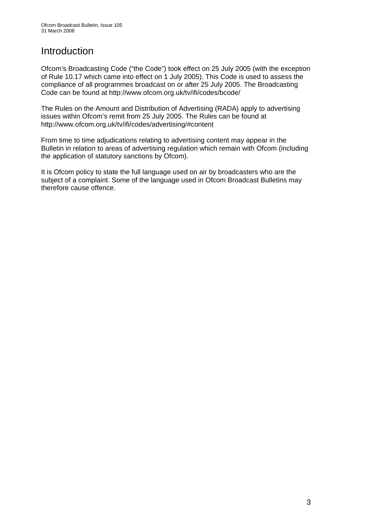### Introduction

Ofcom's Broadcasting Code ("the Code") took effect on 25 July 2005 (with the exception of Rule 10.17 which came into effect on 1 July 2005). This Code is used to assess the compliance of all programmes broadcast on or after 25 July 2005. The Broadcasting Code can be found at http://www.ofcom.org.uk/tv/ifi/codes/bcode/

The Rules on the Amount and Distribution of Advertising (RADA) apply to advertising issues within Ofcom's remit from 25 July 2005. The Rules can be found at http://www.ofcom.org.uk/tv/ifi/codes/advertising/#content

From time to time adjudications relating to advertising content may appear in the Bulletin in relation to areas of advertising regulation which remain with Ofcom (including the application of statutory sanctions by Ofcom).

It is Ofcom policy to state the full language used on air by broadcasters who are the subject of a complaint. Some of the language used in Ofcom Broadcast Bulletins may therefore cause offence.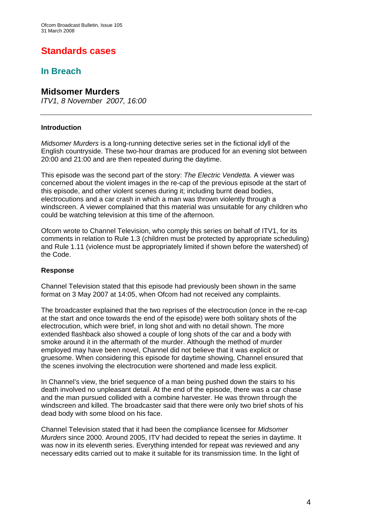### **Standards cases**

### **In Breach**

#### **Midsomer Murders**

*ITV1, 8 November 2007, 16:00* 

#### **Introduction**

*Midsomer Murders* is a long-running detective series set in the fictional idyll of the English countryside. These two-hour dramas are produced for an evening slot between 20:00 and 21:00 and are then repeated during the daytime.

This episode was the second part of the story: *The Electric Vendetta.* A viewer was concerned about the violent images in the re-cap of the previous episode at the start of this episode, and other violent scenes during it; including burnt dead bodies, electrocutions and a car crash in which a man was thrown violently through a windscreen. A viewer complained that this material was unsuitable for any children who could be watching television at this time of the afternoon.

Ofcom wrote to Channel Television, who comply this series on behalf of ITV1, for its comments in relation to Rule 1.3 (children must be protected by appropriate scheduling) and Rule 1.11 (violence must be appropriately limited if shown before the watershed) of the Code.

#### **Response**

Channel Television stated that this episode had previously been shown in the same format on 3 May 2007 at 14:05, when Ofcom had not received any complaints.

The broadcaster explained that the two reprises of the electrocution (once in the re-cap at the start and once towards the end of the episode) were both solitary shots of the electrocution, which were brief, in long shot and with no detail shown. The more extended flashback also showed a couple of long shots of the car and a body with smoke around it in the aftermath of the murder. Although the method of murder employed may have been novel, Channel did not believe that it was explicit or gruesome. When considering this episode for daytime showing, Channel ensured that the scenes involving the electrocution were shortened and made less explicit.

In Channel's view, the brief sequence of a man being pushed down the stairs to his death involved no unpleasant detail. At the end of the episode, there was a car chase and the man pursued collided with a combine harvester. He was thrown through the windscreen and killed. The broadcaster said that there were only two brief shots of his dead body with some blood on his face.

Channel Television stated that it had been the compliance licensee for *Midsomer Murders* since 2000. Around 2005, ITV had decided to repeat the series in daytime. It was now in its eleventh series. Everything intended for repeat was reviewed and any necessary edits carried out to make it suitable for its transmission time. In the light of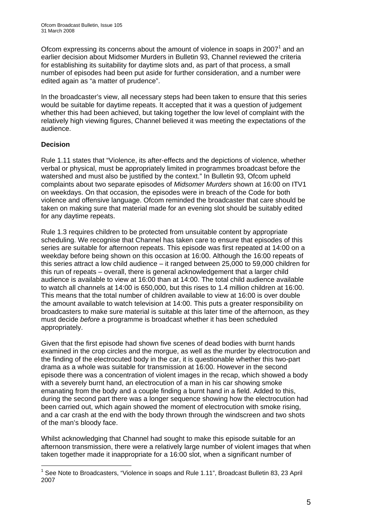Ofcom expressing its concerns about the amount of violence in soaps in 2007<sup>1</sup> and an earlier decision about Midsomer Murders in Bulletin 93, Channel reviewed the criteria for establishing its suitability for daytime slots and, as part of that process, a small number of episodes had been put aside for further consideration, and a number were edited again as "a matter of prudence".

In the broadcaster's view, all necessary steps had been taken to ensure that this series would be suitable for daytime repeats. It accepted that it was a question of judgement whether this had been achieved, but taking together the low level of complaint with the relatively high viewing figures, Channel believed it was meeting the expectations of the audience.

#### **Decision**

Rule 1.11 states that "Violence, its after-effects and the depictions of violence, whether verbal or physical, must be appropriately limited in programmes broadcast before the watershed and must also be justified by the context." In Bulletin 93, Ofcom upheld complaints about two separate episodes of *Midsomer Murders* shown at 16:00 on ITV1 on weekdays. On that occasion, the episodes were in breach of the Code for both violence and offensive language. Ofcom reminded the broadcaster that care should be taken on making sure that material made for an evening slot should be suitably edited for any daytime repeats.

Rule 1.3 requires children to be protected from unsuitable content by appropriate scheduling. We recognise that Channel has taken care to ensure that episodes of this series are suitable for afternoon repeats. This episode was first repeated at 14:00 on a weekday before being shown on this occasion at 16:00. Although the 16:00 repeats of this series attract a low child audience – it ranged between 25,000 to 59,000 children for this run of repeats – overall, there is general acknowledgement that a larger child audience is available to view at 16:00 than at 14:00. The total child audience available to watch all channels at 14:00 is 650,000, but this rises to 1.4 million children at 16:00. This means that the total number of children available to view at 16:00 is over double the amount available to watch television at 14:00. This puts a greater responsibility on broadcasters to make sure material is suitable at this later time of the afternoon, as they must decide *before* a programme is broadcast whether it has been scheduled appropriately.

Given that the first episode had shown five scenes of dead bodies with burnt hands examined in the crop circles and the morgue, as well as the murder by electrocution and the finding of the electrocuted body in the car, it is questionable whether this two-part drama as a whole was suitable for transmission at 16:00. However in the second episode there was a concentration of violent images in the recap, which showed a body with a severely burnt hand, an electrocution of a man in his car showing smoke emanating from the body and a couple finding a burnt hand in a field. Added to this, during the second part there was a longer sequence showing how the electrocution had been carried out, which again showed the moment of electrocution with smoke rising, and a car crash at the end with the body thrown through the windscreen and two shots of the man's bloody face.

Whilst acknowledging that Channel had sought to make this episode suitable for an afternoon transmission, there were a relatively large number of violent images that when taken together made it inappropriate for a 16:00 slot, when a significant number of

 $\overline{a}$ <sup>1</sup> See Note to Broadcasters, "Violence in soaps and Rule 1.11", Broadcast Bulletin 83, 23 April 2007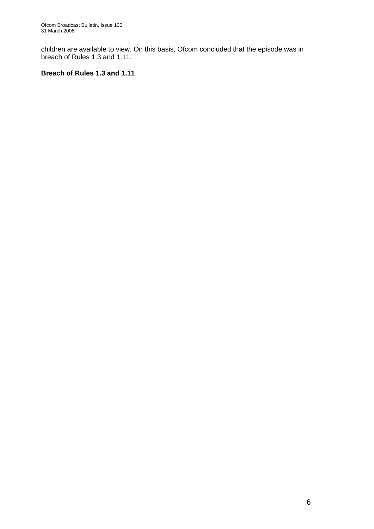children are available to view. On this basis, Ofcom concluded that the episode was in breach of Rules 1.3 and 1.11.

#### **Breach of Rules 1.3 and 1.11**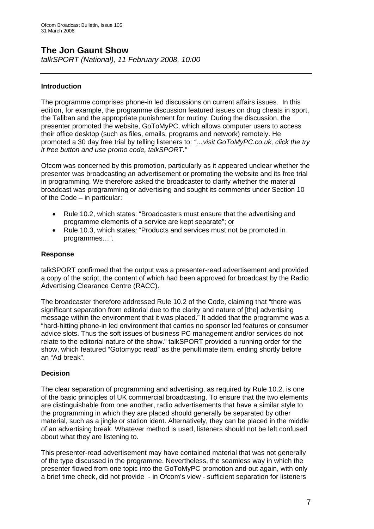### **The Jon Gaunt Show**

*talkSPORT (National), 11 February 2008, 10:00* 

#### **Introduction**

The programme comprises phone-in led discussions on current affairs issues. In this edition, for example, the programme discussion featured issues on drug cheats in sport, the Taliban and the appropriate punishment for mutiny. During the discussion, the presenter promoted the website, GoToMyPC, which allows computer users to access their office desktop (such as files, emails, programs and network) remotely. He promoted a 30 day free trial by telling listeners to: *"…visit GoToMyPC.co.uk, click the try it free button and use promo code, talkSPORT."* 

Ofcom was concerned by this promotion, particularly as it appeared unclear whether the presenter was broadcasting an advertisement or promoting the website and its free trial in programming. We therefore asked the broadcaster to clarify whether the material broadcast was programming or advertising and sought its comments under Section 10 of the Code – in particular:

- Rule 10.2, which states: "Broadcasters must ensure that the advertising and programme elements of a service are kept separate"; or
- Rule 10.3, which states*:* "Products and services must not be promoted in programmes…".

#### **Response**

talkSPORT confirmed that the output was a presenter-read advertisement and provided a copy of the script, the content of which had been approved for broadcast by the Radio Advertising Clearance Centre (RACC).

The broadcaster therefore addressed Rule 10.2 of the Code, claiming that "there was significant separation from editorial due to the clarity and nature of [the] advertising message within the environment that it was placed." It added that the programme was a "hard-hitting phone-in led environment that carries no sponsor led features or consumer advice slots. Thus the soft issues of business PC management and/or services do not relate to the editorial nature of the show." talkSPORT provided a running order for the show, which featured "Gotomypc read" as the penultimate item, ending shortly before an "Ad break".

#### **Decision**

The clear separation of programming and advertising, as required by Rule 10.2, is one of the basic principles of UK commercial broadcasting. To ensure that the two elements are distinguishable from one another, radio advertisements that have a similar style to the programming in which they are placed should generally be separated by other material, such as a jingle or station ident. Alternatively, they can be placed in the middle of an advertising break. Whatever method is used, listeners should not be left confused about what they are listening to.

This presenter-read advertisement may have contained material that was not generally of the type discussed in the programme. Nevertheless, the seamless way in which the presenter flowed from one topic into the GoToMyPC promotion and out again, with only a brief time check, did not provide - in Ofcom's view - sufficient separation for listeners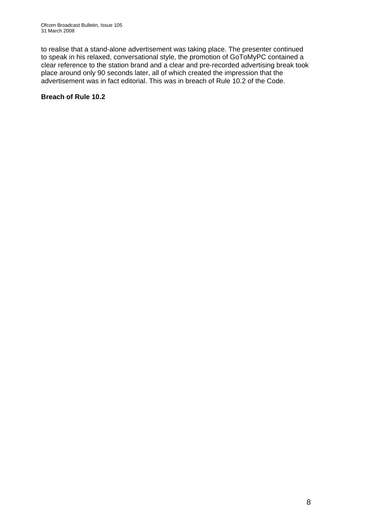to realise that a stand-alone advertisement was taking place. The presenter continued to speak in his relaxed, conversational style, the promotion of GoToMyPC contained a clear reference to the station brand and a clear and pre-recorded advertising break took place around only 90 seconds later, all of which created the impression that the advertisement was in fact editorial. This was in breach of Rule 10.2 of the Code.

#### **Breach of Rule 10.2**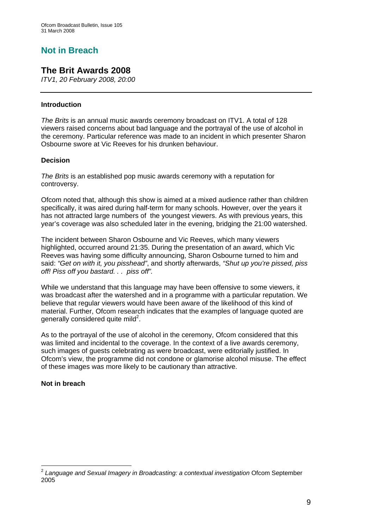### **Not in Breach**

### **The Brit Awards 2008**

*ITV1, 20 February 2008, 20:00* 

#### **Introduction**

*The Brits* is an annual music awards ceremony broadcast on ITV1. A total of 128 viewers raised concerns about bad language and the portrayal of the use of alcohol in the ceremony. Particular reference was made to an incident in which presenter Sharon Osbourne swore at Vic Reeves for his drunken behaviour.

#### **Decision**

*The Brits* is an established pop music awards ceremony with a reputation for controversy.

Ofcom noted that, although this show is aimed at a mixed audience rather than children specifically, it was aired during half-term for many schools. However, over the years it has not attracted large numbers of the youngest viewers. As with previous years, this year's coverage was also scheduled later in the evening, bridging the 21:00 watershed.

The incident between Sharon Osbourne and Vic Reeves, which many viewers highlighted, occurred around 21:35. During the presentation of an award, which Vic Reeves was having some difficulty announcing, Sharon Osbourne turned to him and said: *"Get on with it, you pisshead"*, and shortly afterwards, *"Shut up you're pissed, piss off! Piss off you bastard. . . piss off".* 

While we understand that this language may have been offensive to some viewers, it was broadcast after the watershed and in a programme with a particular reputation. We believe that regular viewers would have been aware of the likelihood of this kind of material. Further, Ofcom research indicates that the examples of language quoted are generally considered quite mild<sup>2</sup>.

As to the portrayal of the use of alcohol in the ceremony, Ofcom considered that this was limited and incidental to the coverage. In the context of a live awards ceremony, such images of guests celebrating as were broadcast, were editorially justified. In Ofcom's view, the programme did not condone or glamorise alcohol misuse. The effect of these images was more likely to be cautionary than attractive.

**Not in breach** 

 $\overline{a}$ <sup>2</sup> *Language and Sexual Imagery in Broadcasting: a contextual investigation* Ofcom September 2005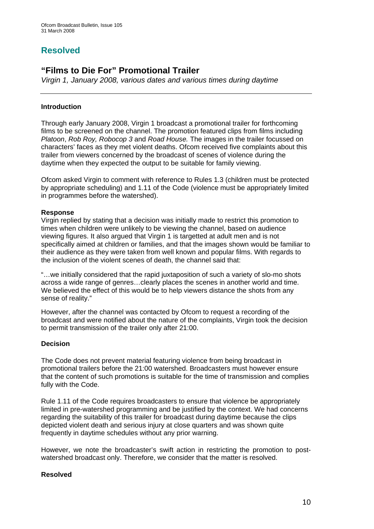### **Resolved**

### **"Films to Die For" Promotional Trailer**

*Virgin 1, January 2008, various dates and various times during daytime* 

#### **Introduction**

Through early January 2008, Virgin 1 broadcast a promotional trailer for forthcoming films to be screened on the channel. The promotion featured clips from films including *Platoon*, *Rob Roy, Robocop 3* and *Road House.* The images in the trailer focussed on characters' faces as they met violent deaths. Ofcom received five complaints about this trailer from viewers concerned by the broadcast of scenes of violence during the daytime when they expected the output to be suitable for family viewing.

Ofcom asked Virgin to comment with reference to Rules 1.3 (children must be protected by appropriate scheduling) and 1.11 of the Code (violence must be appropriately limited in programmes before the watershed).

#### **Response**

Virgin replied by stating that a decision was initially made to restrict this promotion to times when children were unlikely to be viewing the channel, based on audience viewing figures. It also argued that Virgin 1 is targetted at adult men and is not specifically aimed at children or families, and that the images shown would be familiar to their audience as they were taken from well known and popular films. With regards to the inclusion of the violent scenes of death, the channel said that:

"…we initially considered that the rapid juxtaposition of such a variety of slo-mo shots across a wide range of genres…clearly places the scenes in another world and time. We believed the effect of this would be to help viewers distance the shots from any sense of reality."

However, after the channel was contacted by Ofcom to request a recording of the broadcast and were notified about the nature of the complaints, Virgin took the decision to permit transmission of the trailer only after 21:00.

#### **Decision**

The Code does not prevent material featuring violence from being broadcast in promotional trailers before the 21:00 watershed. Broadcasters must however ensure that the content of such promotions is suitable for the time of transmission and complies fully with the Code.

Rule 1.11 of the Code requires broadcasters to ensure that violence be appropriately limited in pre-watershed programming and be justified by the context. We had concerns regarding the suitability of this trailer for broadcast during daytime because the clips depicted violent death and serious injury at close quarters and was shown quite frequently in daytime schedules without any prior warning.

However, we note the broadcaster's swift action in restricting the promotion to postwatershed broadcast only. Therefore, we consider that the matter is resolved.

#### **Resolved**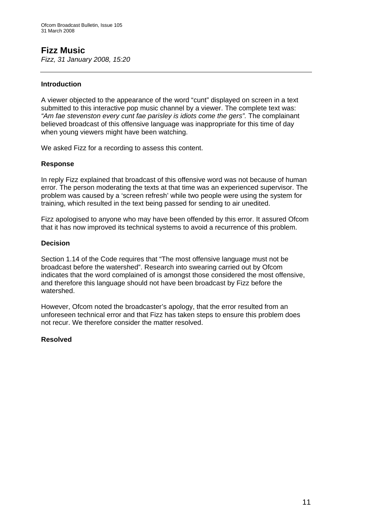### **Fizz Music**

*Fizz, 31 January 2008, 15:20* 

#### **Introduction**

A viewer objected to the appearance of the word "cunt" displayed on screen in a text submitted to this interactive pop music channel by a viewer. The complete text was: *"Am fae stevenston every cunt fae parisley is idiots come the gers".* The complainant believed broadcast of this offensive language was inappropriate for this time of day when young viewers might have been watching.

We asked Fizz for a recording to assess this content.

#### **Response**

In reply Fizz explained that broadcast of this offensive word was not because of human error. The person moderating the texts at that time was an experienced supervisor. The problem was caused by a 'screen refresh' while two people were using the system for training, which resulted in the text being passed for sending to air unedited.

Fizz apologised to anyone who may have been offended by this error. It assured Ofcom that it has now improved its technical systems to avoid a recurrence of this problem.

#### **Decision**

Section 1.14 of the Code requires that "The most offensive language must not be broadcast before the watershed". Research into swearing carried out by Ofcom indicates that the word complained of is amongst those considered the most offensive, and therefore this language should not have been broadcast by Fizz before the watershed.

However, Ofcom noted the broadcaster's apology, that the error resulted from an unforeseen technical error and that Fizz has taken steps to ensure this problem does not recur. We therefore consider the matter resolved.

#### **Resolved**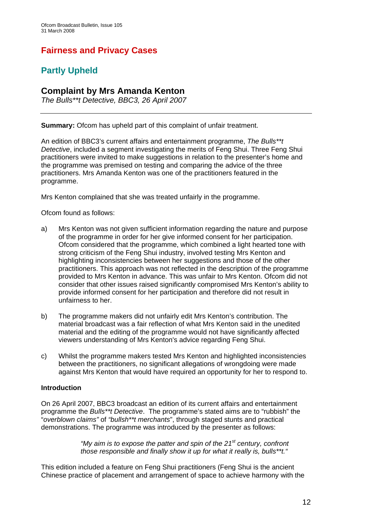### **Fairness and Privacy Cases**

### **Partly Upheld**

### **Complaint by Mrs Amanda Kenton**

*The Bulls\*\*t Detective, BBC3, 26 April 2007* 

**Summary:** Ofcom has upheld part of this complaint of unfair treatment.

An edition of BBC3's current affairs and entertainment programme, *The Bulls\*\*t Detective*, included a segment investigating the merits of Feng Shui. Three Feng Shui practitioners were invited to make suggestions in relation to the presenter's home and the programme was premised on testing and comparing the advice of the three practitioners. Mrs Amanda Kenton was one of the practitioners featured in the programme.

Mrs Kenton complained that she was treated unfairly in the programme.

Ofcom found as follows:

- a) Mrs Kenton was not given sufficient information regarding the nature and purpose of the programme in order for her give informed consent for her participation. Ofcom considered that the programme, which combined a light hearted tone with strong criticism of the Feng Shui industry, involved testing Mrs Kenton and highlighting inconsistencies between her suggestions and those of the other practitioners. This approach was not reflected in the description of the programme provided to Mrs Kenton in advance. This was unfair to Mrs Kenton. Ofcom did not consider that other issues raised significantly compromised Mrs Kenton's ability to provide informed consent for her participation and therefore did not result in unfairness to her.
- b) The programme makers did not unfairly edit Mrs Kenton's contribution. The material broadcast was a fair reflection of what Mrs Kenton said in the unedited material and the editing of the programme would not have significantly affected viewers understanding of Mrs Kenton's advice regarding Feng Shui.
- c) Whilst the programme makers tested Mrs Kenton and highlighted inconsistencies between the practitioners, no significant allegations of wrongdoing were made against Mrs Kenton that would have required an opportunity for her to respond to.

#### **Introduction**

On 26 April 2007, BBC3 broadcast an edition of its current affairs and entertainment programme the *Bulls\*\*t Detective*. The programme's stated aims are to "rubbish" the "*overblown claims"* of *"bullsh\*\*t merchants*", through staged stunts and practical demonstrations. The programme was introduced by the presenter as follows:

> *"My aim is to expose the patter and spin of the 21st century, confront those responsible and finally show it up for what it really is, bulls\*\*t."*

This edition included a feature on Feng Shui practitioners (Feng Shui is the ancient Chinese practice of placement and arrangement of space to achieve harmony with the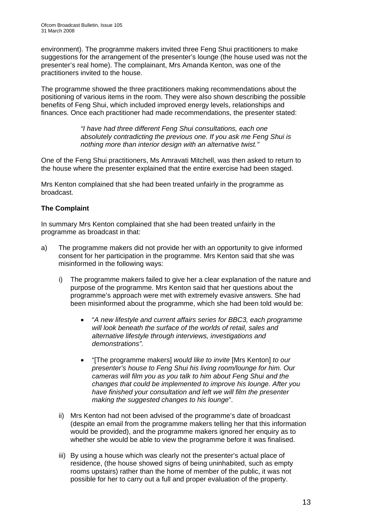environment). The programme makers invited three Feng Shui practitioners to make suggestions for the arrangement of the presenter's lounge (the house used was not the presenter's real home). The complainant, Mrs Amanda Kenton, was one of the practitioners invited to the house.

The programme showed the three practitioners making recommendations about the positioning of various items in the room. They were also shown describing the possible benefits of Feng Shui, which included improved energy levels, relationships and finances. Once each practitioner had made recommendations, the presenter stated:

> *"I have had three different Feng Shui consultations, each one absolutely contradicting the previous one. If you ask me Feng Shui is nothing more than interior design with an alternative twist."*

One of the Feng Shui practitioners, Ms Amravati Mitchell, was then asked to return to the house where the presenter explained that the entire exercise had been staged.

Mrs Kenton complained that she had been treated unfairly in the programme as broadcast.

#### **The Complaint**

In summary Mrs Kenton complained that she had been treated unfairly in the programme as broadcast in that:

- a) The programme makers did not provide her with an opportunity to give informed consent for her participation in the programme. Mrs Kenton said that she was misinformed in the following ways:
	- i) The programme makers failed to give her a clear explanation of the nature and purpose of the programme. Mrs Kenton said that her questions about the programme's approach were met with extremely evasive answers. She had been misinformed about the programme, which she had been told would be:
		- "*A new lifestyle and current affairs series for BBC3, each programme will look beneath the surface of the worlds of retail, sales and alternative lifestyle through interviews, investigations and demonstrations".*
		- "[The programme makers] *would like to invite* [Mrs Kenton] *to our presenter's house to Feng Shui his living room/lounge for him. Our cameras will film you as you talk to him about Feng Shui and the changes that could be implemented to improve his lounge. After you have finished your consultation and left we will film the presenter making the suggested changes to his lounge*".
	- ii) Mrs Kenton had not been advised of the programme's date of broadcast (despite an email from the programme makers telling her that this information would be provided), and the programme makers ignored her enquiry as to whether she would be able to view the programme before it was finalised.
	- iii) By using a house which was clearly not the presenter's actual place of residence, (the house showed signs of being uninhabited, such as empty rooms upstairs) rather than the home of member of the public, it was not possible for her to carry out a full and proper evaluation of the property.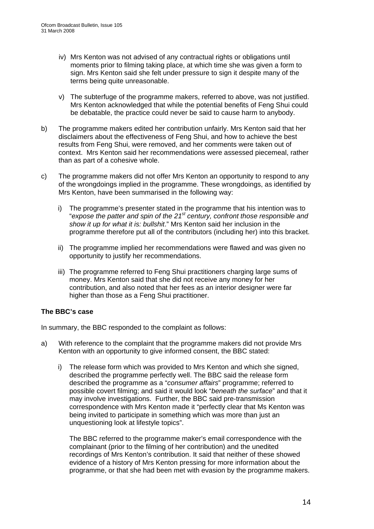- iv) Mrs Kenton was not advised of any contractual rights or obligations until moments prior to filming taking place, at which time she was given a form to sign. Mrs Kenton said she felt under pressure to sign it despite many of the terms being quite unreasonable.
- v) The subterfuge of the programme makers, referred to above, was not justified. Mrs Kenton acknowledged that while the potential benefits of Feng Shui could be debatable, the practice could never be said to cause harm to anybody.
- b) The programme makers edited her contribution unfairly. Mrs Kenton said that her disclaimers about the effectiveness of Feng Shui, and how to achieve the best results from Feng Shui, were removed, and her comments were taken out of context. Mrs Kenton said her recommendations were assessed piecemeal, rather than as part of a cohesive whole.
- c) The programme makers did not offer Mrs Kenton an opportunity to respond to any of the wrongdoings implied in the programme. These wrongdoings, as identified by Mrs Kenton, have been summarised in the following way:
	- i) The programme's presenter stated in the programme that his intention was to "*expose the patter and spin of the 21st century, confront those responsible and show it up for what it is: bullshit*." Mrs Kenton said her inclusion in the programme therefore put all of the contributors (including her) into this bracket.
	- ii) The programme implied her recommendations were flawed and was given no opportunity to justify her recommendations.
	- iii) The programme referred to Feng Shui practitioners charging large sums of money. Mrs Kenton said that she did not receive any money for her contribution, and also noted that her fees as an interior designer were far higher than those as a Feng Shui practitioner.

#### **The BBC's case**

In summary, the BBC responded to the complaint as follows:

- a) With reference to the complaint that the programme makers did not provide Mrs Kenton with an opportunity to give informed consent, the BBC stated:
	- i) The release form which was provided to Mrs Kenton and which she signed, described the programme perfectly well. The BBC said the release form described the programme as a "*consumer affairs*" programme; referred to possible covert filming; and said it would look "*beneath the surface*" and that it may involve investigations. Further, the BBC said pre-transmission correspondence with Mrs Kenton made it "perfectly clear that Ms Kenton was being invited to participate in something which was more than just an unquestioning look at lifestyle topics".

The BBC referred to the programme maker's email correspondence with the complainant (prior to the filming of her contribution) and the unedited recordings of Mrs Kenton's contribution. It said that neither of these showed evidence of a history of Mrs Kenton pressing for more information about the programme, or that she had been met with evasion by the programme makers.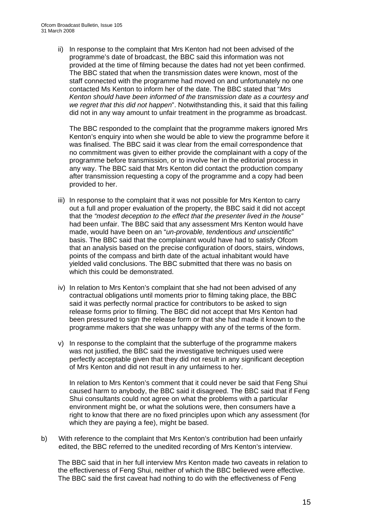ii) In response to the complaint that Mrs Kenton had not been advised of the programme's date of broadcast, the BBC said this information was not provided at the time of filming because the dates had not yet been confirmed. The BBC stated that when the transmission dates were known, most of the staff connected with the programme had moved on and unfortunately no one contacted Ms Kenton to inform her of the date. The BBC stated that "*Mrs Kenton should have been informed of the transmission date as a courtesy and we regret that this did not happen*". Notwithstanding this, it said that this failing did not in any way amount to unfair treatment in the programme as broadcast.

 The BBC responded to the complaint that the programme makers ignored Mrs Kenton's enquiry into when she would be able to view the programme before it was finalised. The BBC said it was clear from the email correspondence that no commitment was given to either provide the complainant with a copy of the programme before transmission, or to involve her in the editorial process in any way. The BBC said that Mrs Kenton did contact the production company after transmission requesting a copy of the programme and a copy had been provided to her.

- iii) In response to the complaint that it was not possible for Mrs Kenton to carry out a full and proper evaluation of the property, the BBC said it did not accept that the *"modest deception to the effect that the presenter lived in the house"* had been unfair. The BBC said that any assessment Mrs Kenton would have made, would have been on an "*un-provable, tendentious and unscientific*" basis. The BBC said that the complainant would have had to satisfy Ofcom that an analysis based on the precise configuration of doors, stairs, windows, points of the compass and birth date of the actual inhabitant would have yielded valid conclusions. The BBC submitted that there was no basis on which this could be demonstrated.
- iv) In relation to Mrs Kenton's complaint that she had not been advised of any contractual obligations until moments prior to filming taking place, the BBC said it was perfectly normal practice for contributors to be asked to sign release forms prior to filming. The BBC did not accept that Mrs Kenton had been pressured to sign the release form or that she had made it known to the programme makers that she was unhappy with any of the terms of the form.
- v) In response to the complaint that the subterfuge of the programme makers was not justified, the BBC said the investigative techniques used were perfectly acceptable given that they did not result in any significant deception of Mrs Kenton and did not result in any unfairness to her.

In relation to Mrs Kenton's comment that it could never be said that Feng Shui caused harm to anybody, the BBC said it disagreed. The BBC said that if Feng Shui consultants could not agree on what the problems with a particular environment might be, or what the solutions were, then consumers have a right to know that there are no fixed principles upon which any assessment (for which they are paying a fee), might be based.

b) With reference to the complaint that Mrs Kenton's contribution had been unfairly edited, the BBC referred to the unedited recording of Mrs Kenton's interview.

 The BBC said that in her full interview Mrs Kenton made two caveats in relation to the effectiveness of Feng Shui, neither of which the BBC believed were effective. The BBC said the first caveat had nothing to do with the effectiveness of Feng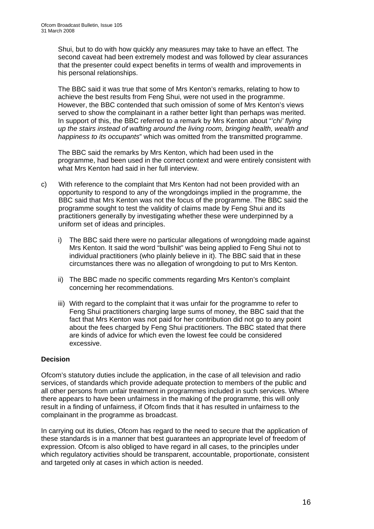Shui, but to do with how quickly any measures may take to have an effect. The second caveat had been extremely modest and was followed by clear assurances that the presenter could expect benefits in terms of wealth and improvements in his personal relationships.

 The BBC said it was true that some of Mrs Kenton's remarks, relating to how to achieve the best results from Feng Shui, were not used in the programme. However, the BBC contended that such omission of some of Mrs Kenton's views served to show the complainant in a rather better light than perhaps was merited. In support of this, the BBC referred to a remark by Mrs Kenton about "*'chi' flying up the stairs instead of wafting around the living room, bringing health, wealth and happiness to its occupants*" which was omitted from the transmitted programme.

The BBC said the remarks by Mrs Kenton, which had been used in the programme, had been used in the correct context and were entirely consistent with what Mrs Kenton had said in her full interview.

- c) With reference to the complaint that Mrs Kenton had not been provided with an opportunity to respond to any of the wrongdoings implied in the programme, the BBC said that Mrs Kenton was not the focus of the programme. The BBC said the programme sought to test the validity of claims made by Feng Shui and its practitioners generally by investigating whether these were underpinned by a uniform set of ideas and principles.
	- i) The BBC said there were no particular allegations of wrongdoing made against Mrs Kenton. It said the word "bullshit" was being applied to Feng Shui not to individual practitioners (who plainly believe in it). The BBC said that in these circumstances there was no allegation of wrongdoing to put to Mrs Kenton.
	- ii) The BBC made no specific comments regarding Mrs Kenton's complaint concerning her recommendations.
	- iii) With regard to the complaint that it was unfair for the programme to refer to Feng Shui practitioners charging large sums of money, the BBC said that the fact that Mrs Kenton was not paid for her contribution did not go to any point about the fees charged by Feng Shui practitioners. The BBC stated that there are kinds of advice for which even the lowest fee could be considered excessive.

#### **Decision**

Ofcom's statutory duties include the application, in the case of all television and radio services, of standards which provide adequate protection to members of the public and all other persons from unfair treatment in programmes included in such services. Where there appears to have been unfairness in the making of the programme, this will only result in a finding of unfairness, if Ofcom finds that it has resulted in unfairness to the complainant in the programme as broadcast.

In carrying out its duties, Ofcom has regard to the need to secure that the application of these standards is in a manner that best guarantees an appropriate level of freedom of expression. Ofcom is also obliged to have regard in all cases, to the principles under which regulatory activities should be transparent, accountable, proportionate, consistent and targeted only at cases in which action is needed.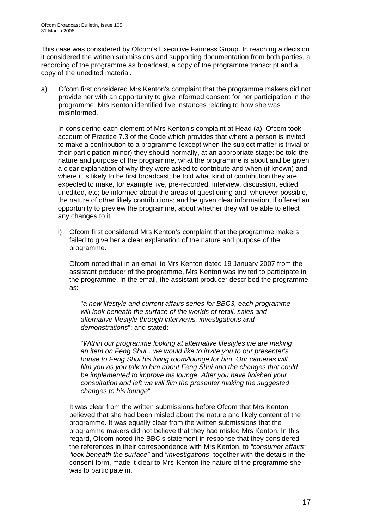This case was considered by Ofcom's Executive Fairness Group. In reaching a decision it considered the written submissions and supporting documentation from both parties, a recording of the programme as broadcast, a copy of the programme transcript and a copy of the unedited material.

a) Ofcom first considered Mrs Kenton's complaint that the programme makers did not provide her with an opportunity to give informed consent for her participation in the programme. Mrs Kenton identified five instances relating to how she was misinformed.

In considering each element of Mrs Kenton's complaint at Head (a), Ofcom took account of Practice 7.3 of the Code which provides that where a person is invited to make a contribution to a programme (except when the subject matter is trivial or their participation minor) they should normally, at an appropriate stage: be told the nature and purpose of the programme, what the programme is about and be given a clear explanation of why they were asked to contribute and when (if known) and where it is likely to be first broadcast; be told what kind of contribution they are expected to make, for example live, pre-recorded, interview, discussion, edited, unedited, etc; be informed about the areas of questioning and, wherever possible, the nature of other likely contributions; and be given clear information, if offered an opportunity to preview the programme, about whether they will be able to effect any changes to it.

i) Ofcom first considered Mrs Kenton's complaint that the programme makers failed to give her a clear explanation of the nature and purpose of the programme.

 Ofcom noted that in an email to Mrs Kenton dated 19 January 2007 from the assistant producer of the programme, Mrs Kenton was invited to participate in the programme. In the email, the assistant producer described the programme as:

"*a new lifestyle and current affairs series for BBC3, each programme will look beneath the surface of the worlds of retail, sales and alternative lifestyle through interviews, investigations and demonstrations*"; and stated:

"*Within our programme looking at alternative lifestyles we are making an item on Feng Shui…we would like to invite you to our presenter's house to Feng Shui his living room/lounge for him. Our cameras will film you as you talk to him about Feng Shui and the changes that could be implemented to improve his lounge. After you have finished your consultation and left we will film the presenter making the suggested changes to his lounge*".

It was clear from the written submissions before Ofcom that Mrs Kenton believed that she had been misled about the nature and likely content of the programme. It was equally clear from the written submissions that the programme makers did not believe that they had misled Mrs Kenton. In this regard, Ofcom noted the BBC's statement in response that they considered the references in their correspondence with Mrs Kenton, to *"consumer affairs"*, *"look beneath the surface"* and *"investigations"* together with the details in the consent form, made it clear to Mrs Kenton the nature of the programme she was to participate in.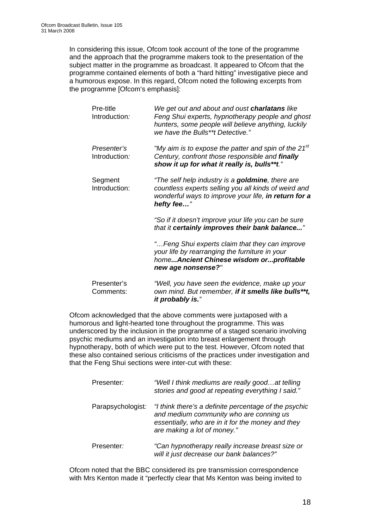In considering this issue, Ofcom took account of the tone of the programme and the approach that the programme makers took to the presentation of the subject matter in the programme as broadcast. It appeared to Ofcom that the programme contained elements of both a "hard hitting" investigative piece and a humorous expose. In this regard, Ofcom noted the following excerpts from the programme [Ofcom's emphasis]:

| Pre-title<br>Introduction:   | We get out and about and oust charlatans like<br>Feng Shui experts, hypnotherapy people and ghost<br>hunters, some people will believe anything, luckily<br>we have the Bulls**t Detective." |
|------------------------------|----------------------------------------------------------------------------------------------------------------------------------------------------------------------------------------------|
| Presenter's<br>Introduction: | "My aim is to expose the patter and spin of the 21 $s$ t<br>Century, confront those responsible and finally<br>show it up for what it really is, bulls**t."                                  |
| Segment<br>Introduction:     | "The self help industry is a <b>goldmine</b> , there are<br>countless experts selling you all kinds of weird and<br>wonderful ways to improve your life, in return for a<br>hefty fee"       |
|                              | "So if it doesn't improve your life you can be sure<br>that it certainly improves their bank balance"                                                                                        |
|                              | "Feng Shui experts claim that they can improve<br>your life by rearranging the furniture in your<br>homeAncient Chinese wisdom orprofitable<br>new age nonsense?"                            |
| Presenter's<br>Comments:     | "Well, you have seen the evidence, make up your<br>own mind. But remember, if it smells like bulls**t,<br>it probably is."                                                                   |

Ofcom acknowledged that the above comments were juxtaposed with a humorous and light-hearted tone throughout the programme. This was underscored by the inclusion in the programme of a staged scenario involving psychic mediums and an investigation into breast enlargement through hypnotherapy, both of which were put to the test. However, Ofcom noted that these also contained serious criticisms of the practices under investigation and that the Feng Shui sections were inter-cut with these:

| Presenter:        | "Well I think mediums are really goodat telling<br>stories and good at repeating everything I said."                                                                                 |
|-------------------|--------------------------------------------------------------------------------------------------------------------------------------------------------------------------------------|
| Parapsychologist: | "I think there's a definite percentage of the psychic<br>and medium community who are conning us<br>essentially, who are in it for the money and they<br>are making a lot of money." |
| Presenter:        | "Can hypnotherapy really increase breast size or<br>will it just decrease our bank balances?"                                                                                        |

Ofcom noted that the BBC considered its pre transmission correspondence with Mrs Kenton made it "perfectly clear that Ms Kenton was being invited to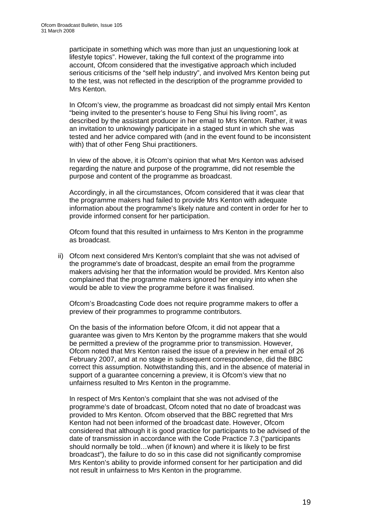participate in something which was more than just an unquestioning look at lifestyle topics". However, taking the full context of the programme into account, Ofcom considered that the investigative approach which included serious criticisms of the "self help industry", and involved Mrs Kenton being put to the test, was not reflected in the description of the programme provided to Mrs Kenton.

In Ofcom's view, the programme as broadcast did not simply entail Mrs Kenton "being invited to the presenter's house to Feng Shui his living room", as described by the assistant producer in her email to Mrs Kenton. Rather, it was an invitation to unknowingly participate in a staged stunt in which she was tested and her advice compared with (and in the event found to be inconsistent with) that of other Feng Shui practitioners.

In view of the above, it is Ofcom's opinion that what Mrs Kenton was advised regarding the nature and purpose of the programme, did not resemble the purpose and content of the programme as broadcast.

Accordingly, in all the circumstances, Ofcom considered that it was clear that the programme makers had failed to provide Mrs Kenton with adequate information about the programme's likely nature and content in order for her to provide informed consent for her participation.

Ofcom found that this resulted in unfairness to Mrs Kenton in the programme as broadcast.

ii) Ofcom next considered Mrs Kenton's complaint that she was not advised of the programme's date of broadcast, despite an email from the programme makers advising her that the information would be provided. Mrs Kenton also complained that the programme makers ignored her enquiry into when she would be able to view the programme before it was finalised.

Ofcom's Broadcasting Code does not require programme makers to offer a preview of their programmes to programme contributors.

 On the basis of the information before Ofcom, it did not appear that a guarantee was given to Mrs Kenton by the programme makers that she would be permitted a preview of the programme prior to transmission. However, Ofcom noted that Mrs Kenton raised the issue of a preview in her email of 26 February 2007, and at no stage in subsequent correspondence, did the BBC correct this assumption. Notwithstanding this, and in the absence of material in support of a guarantee concerning a preview, it is Ofcom's view that no unfairness resulted to Mrs Kenton in the programme.

 In respect of Mrs Kenton's complaint that she was not advised of the programme's date of broadcast, Ofcom noted that no date of broadcast was provided to Mrs Kenton. Ofcom observed that the BBC regretted that Mrs Kenton had not been informed of the broadcast date. However, Ofcom considered that although it is good practice for participants to be advised of the date of transmission in accordance with the Code Practice 7.3 ("participants should normally be told…when (if known) and where it is likely to be first broadcast"), the failure to do so in this case did not significantly compromise Mrs Kenton's ability to provide informed consent for her participation and did not result in unfairness to Mrs Kenton in the programme.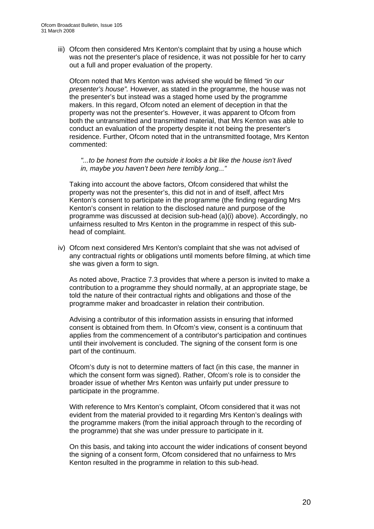iii) Ofcom then considered Mrs Kenton's complaint that by using a house which was not the presenter's place of residence, it was not possible for her to carry out a full and proper evaluation of the property.

 Ofcom noted that Mrs Kenton was advised she would be filmed *"in our presenter's house".* However, as stated in the programme, the house was not the presenter's but instead was a staged home used by the programme makers. In this regard, Ofcom noted an element of deception in that the property was not the presenter's. However, it was apparent to Ofcom from both the untransmitted and transmitted material, that Mrs Kenton was able to conduct an evaluation of the property despite it not being the presenter's residence. Further, Ofcom noted that in the untransmitted footage, Mrs Kenton commented:

*"...to be honest from the outside it looks a bit like the house isn't lived in, maybe you haven't been here terribly long..."*

Taking into account the above factors, Ofcom considered that whilst the property was not the presenter's, this did not in and of itself, affect Mrs Kenton's consent to participate in the programme (the finding regarding Mrs Kenton's consent in relation to the disclosed nature and purpose of the programme was discussed at decision sub-head (a)(i) above). Accordingly, no unfairness resulted to Mrs Kenton in the programme in respect of this subhead of complaint.

iv) Ofcom next considered Mrs Kenton's complaint that she was not advised of any contractual rights or obligations until moments before filming, at which time she was given a form to sign.

As noted above, Practice 7.3 provides that where a person is invited to make a contribution to a programme they should normally, at an appropriate stage, be told the nature of their contractual rights and obligations and those of the programme maker and broadcaster in relation their contribution.

Advising a contributor of this information assists in ensuring that informed consent is obtained from them. In Ofcom's view, consent is a continuum that applies from the commencement of a contributor's participation and continues until their involvement is concluded. The signing of the consent form is one part of the continuum.

Ofcom's duty is not to determine matters of fact (in this case, the manner in which the consent form was signed). Rather, Ofcom's role is to consider the broader issue of whether Mrs Kenton was unfairly put under pressure to participate in the programme.

With reference to Mrs Kenton's complaint, Ofcom considered that it was not evident from the material provided to it regarding Mrs Kenton's dealings with the programme makers (from the initial approach through to the recording of the programme) that she was under pressure to participate in it.

On this basis, and taking into account the wider indications of consent beyond the signing of a consent form, Ofcom considered that no unfairness to Mrs Kenton resulted in the programme in relation to this sub-head.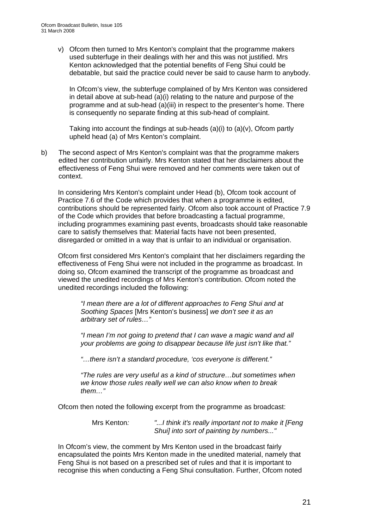v) Ofcom then turned to Mrs Kenton's complaint that the programme makers used subterfuge in their dealings with her and this was not justified. Mrs Kenton acknowledged that the potential benefits of Feng Shui could be debatable, but said the practice could never be said to cause harm to anybody.

 In Ofcom's view, the subterfuge complained of by Mrs Kenton was considered in detail above at sub-head (a)(i) relating to the nature and purpose of the programme and at sub-head (a)(iii) in respect to the presenter's home. There is consequently no separate finding at this sub-head of complaint.

 Taking into account the findings at sub-heads (a)(i) to (a)(v), Ofcom partly upheld head (a) of Mrs Kenton's complaint.

b) The second aspect of Mrs Kenton's complaint was that the programme makers edited her contribution unfairly. Mrs Kenton stated that her disclaimers about the effectiveness of Feng Shui were removed and her comments were taken out of context.

 In considering Mrs Kenton's complaint under Head (b), Ofcom took account of Practice 7.6 of the Code which provides that when a programme is edited, contributions should be represented fairly. Ofcom also took account of Practice 7.9 of the Code which provides that before broadcasting a factual programme, including programmes examining past events, broadcasts should take reasonable care to satisfy themselves that: Material facts have not been presented, disregarded or omitted in a way that is unfair to an individual or organisation.

Ofcom first considered Mrs Kenton's complaint that her disclaimers regarding the effectiveness of Feng Shui were not included in the programme as broadcast. In doing so, Ofcom examined the transcript of the programme as broadcast and viewed the unedited recordings of Mrs Kenton's contribution. Ofcom noted the unedited recordings included the following:

*"I mean there are a lot of different approaches to Feng Shui and at Soothing Spaces* [Mrs Kenton's business] *we don't see it as an arbitrary set of rules…"* 

*"I mean I'm not going to pretend that I can wave a magic wand and all your problems are going to disappear because life just isn't like that."* 

*"…there isn't a standard procedure, 'cos everyone is different."* 

*"The rules are very useful as a kind of structure…but sometimes when we know those rules really well we can also know when to break them…"* 

Ofcom then noted the following excerpt from the programme as broadcast:

Mrs Kenton*: "...I think it's really important not to make it [Feng Shui] into sort of painting by numbers..."* 

In Ofcom's view, the comment by Mrs Kenton used in the broadcast fairly encapsulated the points Mrs Kenton made in the unedited material, namely that Feng Shui is not based on a prescribed set of rules and that it is important to recognise this when conducting a Feng Shui consultation. Further, Ofcom noted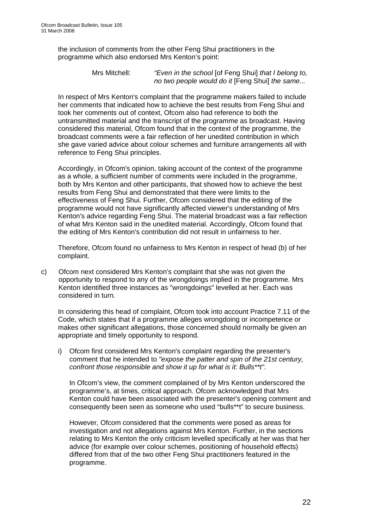the inclusion of comments from the other Feng Shui practitioners in the programme which also endorsed Mrs Kenton's point:

> Mrs Mitchell: *"Even in the school* [of Feng Shui] *that I belong to, no two people would do it* [Feng Shui] *the same...*

In respect of Mrs Kenton's complaint that the programme makers failed to include her comments that indicated how to achieve the best results from Feng Shui and took her comments out of context, Ofcom also had reference to both the untransmitted material and the transcript of the programme as broadcast. Having considered this material, Ofcom found that in the context of the programme, the broadcast comments were a fair reflection of her unedited contribution in which she gave varied advice about colour schemes and furniture arrangements all with reference to Feng Shui principles.

Accordingly, in Ofcom's opinion, taking account of the context of the programme as a whole, a sufficient number of comments were included in the programme, both by Mrs Kenton and other participants, that showed how to achieve the best results from Feng Shui and demonstrated that there were limits to the effectiveness of Feng Shui. Further, Ofcom considered that the editing of the programme would not have significantly affected viewer's understanding of Mrs Kenton's advice regarding Feng Shui. The material broadcast was a fair reflection of what Mrs Kenton said in the unedited material. Accordingly, Ofcom found that the editing of Mrs Kenton's contribution did not result in unfairness to her.

Therefore, Ofcom found no unfairness to Mrs Kenton in respect of head (b) of her complaint.

c) Ofcom next considered Mrs Kenton's complaint that she was not given the opportunity to respond to any of the wrongdoings implied in the programme. Mrs Kenton identified three instances as "wrongdoings" levelled at her. Each was considered in turn.

In considering this head of complaint, Ofcom took into account Practice 7.11 of the Code, which states that if a programme alleges wrongdoing or incompetence or makes other significant allegations, those concerned should normally be given an appropriate and timely opportunity to respond.

i) Ofcom first considered Mrs Kenton's complaint regarding the presenter's comment that he intended to *"expose the patter and spin of the 21st century, confront those responsible and show it up for what is it: Bulls\*\*t"*.

In Ofcom's view, the comment complained of by Mrs Kenton underscored the programme's, at times, critical approach. Ofcom acknowledged that Mrs Kenton could have been associated with the presenter's opening comment and consequently been seen as someone who used "bulls\*\*t" to secure business.

However, Ofcom considered that the comments were posed as areas for investigation and not allegations against Mrs Kenton. Further, in the sections relating to Mrs Kenton the only criticism levelled specifically at her was that her advice (for example over colour schemes, positioning of household effects) differed from that of the two other Feng Shui practitioners featured in the programme.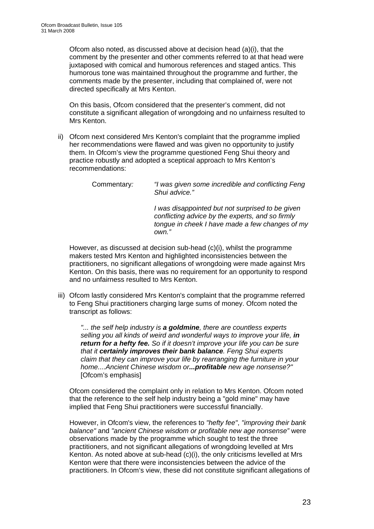Ofcom also noted, as discussed above at decision head (a)(i), that the comment by the presenter and other comments referred to at that head were juxtaposed with comical and humorous references and staged antics. This humorous tone was maintained throughout the programme and further, the comments made by the presenter, including that complained of, were not directed specifically at Mrs Kenton.

On this basis, Ofcom considered that the presenter's comment, did not constitute a significant allegation of wrongdoing and no unfairness resulted to Mrs Kenton.

ii) Ofcom next considered Mrs Kenton's complaint that the programme implied her recommendations were flawed and was given no opportunity to justify them. In Ofcom's view the programme questioned Feng Shui theory and practice robustly and adopted a sceptical approach to Mrs Kenton's recommendations:

*I was disappointed but not surprised to be given conflicting advice by the experts, and so firmly tongue in cheek I have made a few changes of my own."* 

 However, as discussed at decision sub-head (c)(i), whilst the programme makers tested Mrs Kenton and highlighted inconsistencies between the practitioners, no significant allegations of wrongdoing were made against Mrs Kenton. On this basis, there was no requirement for an opportunity to respond and no unfairness resulted to Mrs Kenton.

iii) Ofcom lastly considered Mrs Kenton's complaint that the programme referred to Feng Shui practitioners charging large sums of money. Ofcom noted the transcript as follows:

*"... the self help industry is a goldmine, there are countless experts selling you all kinds of weird and wonderful ways to improve your life, in return for a hefty fee. So if it doesn't improve your life you can be sure that it certainly improves their bank balance. Feng Shui experts claim that they can improve your life by rearranging the furniture in your home....Ancient Chinese wisdom or...profitable new age nonsense?"*  [Ofcom's emphasis]

Ofcom considered the complaint only in relation to Mrs Kenton. Ofcom noted that the reference to the self help industry being a "gold mine" may have implied that Feng Shui practitioners were successful financially.

However, in Ofcom's view, the references to *"hefty fee"*, *"improving their bank balance"* and *"ancient Chinese wisdom or profitable new age nonsense"* were observations made by the programme which sought to test the three practitioners, and not significant allegations of wrongdoing levelled at Mrs Kenton. As noted above at sub-head (c)(i), the only criticisms levelled at Mrs Kenton were that there were inconsistencies between the advice of the practitioners. In Ofcom's view, these did not constitute significant allegations of

Commentary*: "I was given some incredible and conflicting Feng Shui advice."*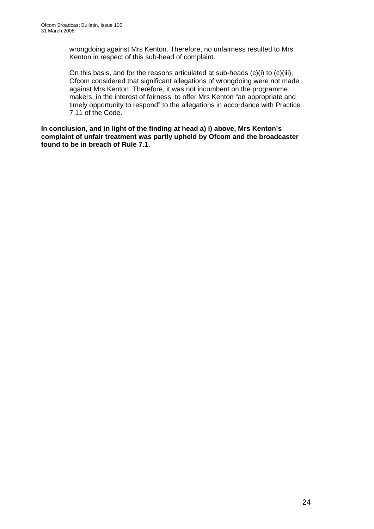wrongdoing against Mrs Kenton. Therefore, no unfairness resulted to Mrs Kenton in respect of this sub-head of complaint.

On this basis, and for the reasons articulated at sub-heads (c)(i) to (c)(iii), Ofcom considered that significant allegations of wrongdoing were not made against Mrs Kenton. Therefore, it was not incumbent on the programme makers, in the interest of fairness, to offer Mrs Kenton "an appropriate and timely opportunity to respond" to the allegations in accordance with Practice 7.11 of the Code.

**In conclusion, and in light of the finding at head a) i) above, Mrs Kenton's complaint of unfair treatment was partly upheld by Ofcom and the broadcaster found to be in breach of Rule 7.1.**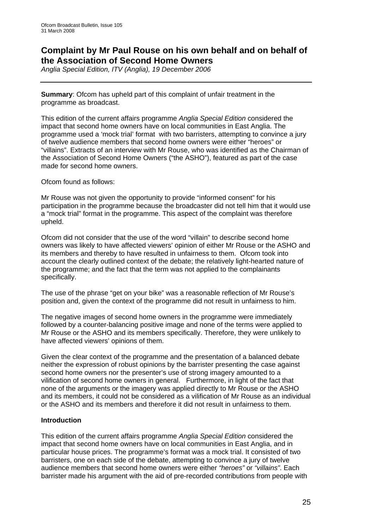### **Complaint by Mr Paul Rouse on his own behalf and on behalf of the Association of Second Home Owners**

*Anglia Special Edition, ITV (Anglia), 19 December 2006* 

**Summary**: Ofcom has upheld part of this complaint of unfair treatment in the programme as broadcast.

This edition of the current affairs programme *Anglia Special Edition* considered the impact that second home owners have on local communities in East Anglia. The programme used a 'mock trial' format with two barristers, attempting to convince a jury of twelve audience members that second home owners were either "heroes" or "villains". Extracts of an interview with Mr Rouse, who was identified as the Chairman of the Association of Second Home Owners ("the ASHO"), featured as part of the case made for second home owners.

Ofcom found as follows:

Mr Rouse was not given the opportunity to provide "informed consent" for his participation in the programme because the broadcaster did not tell him that it would use a "mock trial" format in the programme. This aspect of the complaint was therefore upheld.

Ofcom did not consider that the use of the word "villain" to describe second home owners was likely to have affected viewers' opinion of either Mr Rouse or the ASHO and its members and thereby to have resulted in unfairness to them. Ofcom took into account the clearly outlined context of the debate; the relatively light-hearted nature of the programme; and the fact that the term was not applied to the complainants specifically.

The use of the phrase "get on your bike" was a reasonable reflection of Mr Rouse's position and, given the context of the programme did not result in unfairness to him.

The negative images of second home owners in the programme were immediately followed by a counter-balancing positive image and none of the terms were applied to Mr Rouse or the ASHO and its members specifically. Therefore, they were unlikely to have affected viewers' opinions of them.

Given the clear context of the programme and the presentation of a balanced debate neither the expression of robust opinions by the barrister presenting the case against second home owners nor the presenter's use of strong imagery amounted to a vilification of second home owners in general. Furthermore, in light of the fact that none of the arguments or the imagery was applied directly to Mr Rouse or the ASHO and its members, it could not be considered as a vilification of Mr Rouse as an individual or the ASHO and its members and therefore it did not result in unfairness to them.

#### **Introduction**

This edition of the current affairs programme *Anglia Special Edition* considered the impact that second home owners have on local communities in East Anglia, and in particular house prices. The programme's format was a mock trial. It consisted of two barristers, one on each side of the debate, attempting to convince a jury of twelve audience members that second home owners were either *"heroes"* or *"villains"*. Each barrister made his argument with the aid of pre-recorded contributions from people with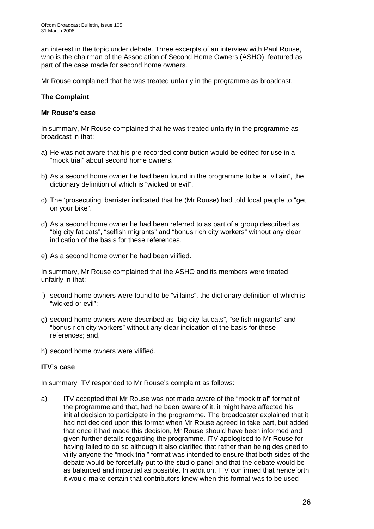an interest in the topic under debate. Three excerpts of an interview with Paul Rouse, who is the chairman of the Association of Second Home Owners (ASHO), featured as part of the case made for second home owners.

Mr Rouse complained that he was treated unfairly in the programme as broadcast.

#### **The Complaint**

#### **Mr Rouse's case**

In summary, Mr Rouse complained that he was treated unfairly in the programme as broadcast in that:

- a) He was not aware that his pre-recorded contribution would be edited for use in a "mock trial" about second home owners.
- b) As a second home owner he had been found in the programme to be a "villain", the dictionary definition of which is "wicked or evil".
- c) The 'prosecuting' barrister indicated that he (Mr Rouse) had told local people to "get on your bike".
- d) As a second home owner he had been referred to as part of a group described as "big city fat cats", "selfish migrants" and "bonus rich city workers" without any clear indication of the basis for these references.
- e) As a second home owner he had been vilified.

In summary, Mr Rouse complained that the ASHO and its members were treated unfairly in that:

- f) second home owners were found to be "villains", the dictionary definition of which is "wicked or evil";
- g) second home owners were described as "big city fat cats", "selfish migrants" and "bonus rich city workers" without any clear indication of the basis for these references; and,
- h) second home owners were vilified.

#### **ITV's case**

In summary ITV responded to Mr Rouse's complaint as follows:

a) ITV accepted that Mr Rouse was not made aware of the "mock trial" format of the programme and that, had he been aware of it, it might have affected his initial decision to participate in the programme. The broadcaster explained that it had not decided upon this format when Mr Rouse agreed to take part, but added that once it had made this decision, Mr Rouse should have been informed and given further details regarding the programme. ITV apologised to Mr Rouse for having failed to do so although it also clarified that rather than being designed to vilify anyone the "mock trial" format was intended to ensure that both sides of the debate would be forcefully put to the studio panel and that the debate would be as balanced and impartial as possible. In addition, ITV confirmed that henceforth it would make certain that contributors knew when this format was to be used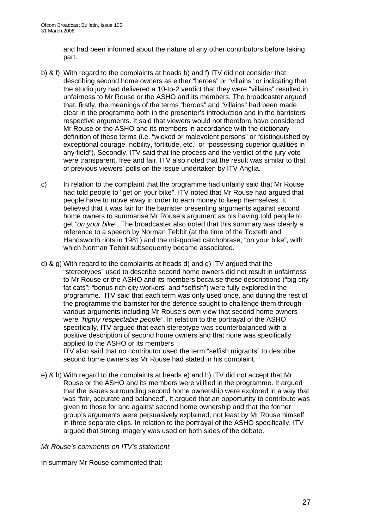and had been informed about the nature of any other contributors before taking part.

- b) & f) With regard to the complaints at heads b) and f) ITV did not consider that describing second home owners as either "heroes" or "villains" or indicating that the studio jury had delivered a 10-to-2 verdict that they were "villains" resulted in unfairness to Mr Rouse or the ASHO and its members. The broadcaster argued that, firstly, the meanings of the terms "heroes" and "villains" had been made clear in the programme both in the presenter's introduction and in the barristers' respective arguments. It said that viewers would not therefore have considered Mr Rouse or the ASHO and its members in accordance with the dictionary definition of these terms (i.e. "wicked or malevolent persons" or "distinguished by exceptional courage, nobility, fortitude, etc." or "possessing superior qualities in any field"). Secondly, ITV said that the process and the verdict of the jury vote were transparent, free and fair. ITV also noted that the result was similar to that of previous viewers' polls on the issue undertaken by ITV Anglia.
- c) In relation to the complaint that the programme had unfairly said that Mr Rouse had told people to "get on your bike", ITV noted that Mr Rouse had argued that people have to move away in order to earn money to keep themselves. It believed that it was fair for the barrister presenting arguments against second home owners to summarise Mr Rouse's argument as his having told people to get *"on your bike"*. The broadcaster also noted that this summary was clearly a reference to a speech by Norman Tebbit (at the time of the Toxteth and Handsworth riots in 1981) and the misquoted catchphrase, "on your bike", with which Norman Tebbit subsequently became associated.
- d) & g) With regard to the complaints at heads d) and g) ITV argued that the "stereotypes" used to describe second home owners did not result in unfairness to Mr Rouse or the ASHO and its members because these descriptions ("big city fat cats"; "bonus rich city workers" and "selfish") were fully explored in the programme. ITV said that each term was only used once, and during the rest of the programme the barrister for the defence sought to challenge them through various arguments including Mr Rouse's own view that second home owners were *"highly respectable people"*. In relation to the portrayal of the ASHO specifically, ITV argued that each stereotype was counterbalanced with a positive description of second home owners and that none was specifically applied to the ASHO or its members

ITV also said that no contributor used the term "selfish migrants" to describe second home owners as Mr Rouse had stated in his complaint.

e) & h) With regard to the complaints at heads e) and h) ITV did not accept that Mr Rouse or the ASHO and its members were vilified in the programme. It argued that the issues surrounding second home ownership were explored in a way that was "fair, accurate and balanced". It argued that an opportunity to contribute was given to those for and against second home ownership and that the former group's arguments were persuasively explained, not least by Mr Rouse himself in three separate clips. In relation to the portrayal of the ASHO specifically, ITV argued that strong imagery was used on both sides of the debate.

*Mr Rouse's comments on ITV's statement* 

In summary Mr Rouse commented that: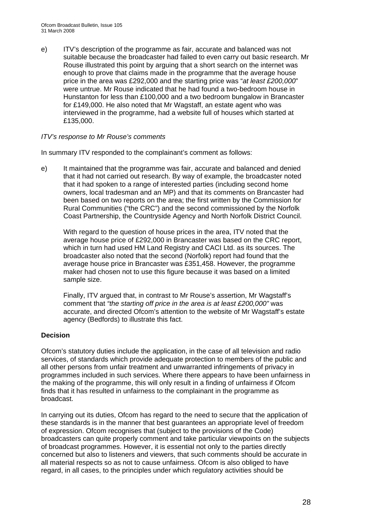e) ITV's description of the programme as fair, accurate and balanced was not suitable because the broadcaster had failed to even carry out basic research. Mr Rouse illustrated this point by arguing that a short search on the internet was enough to prove that claims made in the programme that the average house price in the area was £292,000 and the starting price was "*at least £200,000*" were untrue. Mr Rouse indicated that he had found a two-bedroom house in Hunstanton for less than £100,000 and a two bedroom bungalow in Brancaster for £149,000. He also noted that Mr Wagstaff, an estate agent who was interviewed in the programme, had a website full of houses which started at £135,000.

#### *ITV's response to Mr Rouse's comments*

In summary ITV responded to the complainant's comment as follows:

e) It maintained that the programme was fair, accurate and balanced and denied that it had not carried out research. By way of example, the broadcaster noted that it had spoken to a range of interested parties (including second home owners, local tradesman and an MP) and that its comments on Brancaster had been based on two reports on the area; the first written by the Commission for Rural Communities ("the CRC") and the second commissioned by the Norfolk Coast Partnership, the Countryside Agency and North Norfolk District Council.

With regard to the question of house prices in the area, ITV noted that the average house price of £292,000 in Brancaster was based on the CRC report, which in turn had used HM Land Registry and CACI Ltd. as its sources. The broadcaster also noted that the second (Norfolk) report had found that the average house price in Brancaster was £351,458. However, the programme maker had chosen not to use this figure because it was based on a limited sample size.

Finally, ITV argued that, in contrast to Mr Rouse's assertion, Mr Wagstaff's comment that *"the starting off price in the area is at least £200,000"* was accurate, and directed Ofcom's attention to the website of Mr Wagstaff's estate agency (Bedfords) to illustrate this fact.

#### **Decision**

Ofcom's statutory duties include the application, in the case of all television and radio services, of standards which provide adequate protection to members of the public and all other persons from unfair treatment and unwarranted infringements of privacy in programmes included in such services. Where there appears to have been unfairness in the making of the programme, this will only result in a finding of unfairness if Ofcom finds that it has resulted in unfairness to the complainant in the programme as broadcast.

In carrying out its duties, Ofcom has regard to the need to secure that the application of these standards is in the manner that best guarantees an appropriate level of freedom of expression. Ofcom recognises that (subject to the provisions of the Code) broadcasters can quite properly comment and take particular viewpoints on the subjects of broadcast programmes. However, it is essential not only to the parties directly concerned but also to listeners and viewers, that such comments should be accurate in all material respects so as not to cause unfairness. Ofcom is also obliged to have regard, in all cases, to the principles under which regulatory activities should be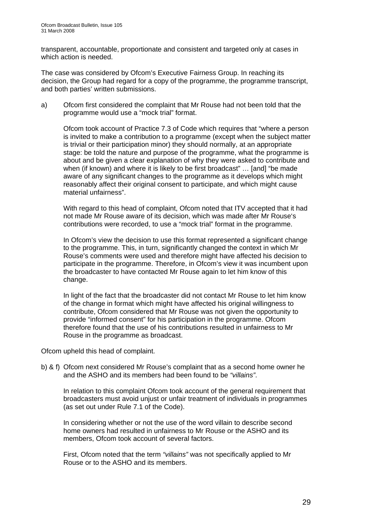transparent, accountable, proportionate and consistent and targeted only at cases in which action is needed.

The case was considered by Ofcom's Executive Fairness Group. In reaching its decision, the Group had regard for a copy of the programme, the programme transcript, and both parties' written submissions.

a) Ofcom first considered the complaint that Mr Rouse had not been told that the programme would use a "mock trial" format.

Ofcom took account of Practice 7.3 of Code which requires that "where a person is invited to make a contribution to a programme (except when the subject matter is trivial or their participation minor) they should normally, at an appropriate stage: be told the nature and purpose of the programme, what the programme is about and be given a clear explanation of why they were asked to contribute and when (if known) and where it is likely to be first broadcast" ... [and] "be made aware of any significant changes to the programme as it develops which might reasonably affect their original consent to participate, and which might cause material unfairness".

With regard to this head of complaint, Ofcom noted that ITV accepted that it had not made Mr Rouse aware of its decision, which was made after Mr Rouse's contributions were recorded, to use a "mock trial" format in the programme.

In Ofcom's view the decision to use this format represented a significant change to the programme. This, in turn, significantly changed the context in which Mr Rouse's comments were used and therefore might have affected his decision to participate in the programme. Therefore, in Ofcom's view it was incumbent upon the broadcaster to have contacted Mr Rouse again to let him know of this change.

In light of the fact that the broadcaster did not contact Mr Rouse to let him know of the change in format which might have affected his original willingness to contribute, Ofcom considered that Mr Rouse was not given the opportunity to provide "informed consent" for his participation in the programme. Ofcom therefore found that the use of his contributions resulted in unfairness to Mr Rouse in the programme as broadcast.

Ofcom upheld this head of complaint.

b) & f) Ofcom next considered Mr Rouse's complaint that as a second home owner he and the ASHO and its members had been found to be *"villains"*.

In relation to this complaint Ofcom took account of the general requirement that broadcasters must avoid unjust or unfair treatment of individuals in programmes (as set out under Rule 7.1 of the Code).

In considering whether or not the use of the word villain to describe second home owners had resulted in unfairness to Mr Rouse or the ASHO and its members, Ofcom took account of several factors.

First, Ofcom noted that the term *"villains"* was not specifically applied to Mr Rouse or to the ASHO and its members.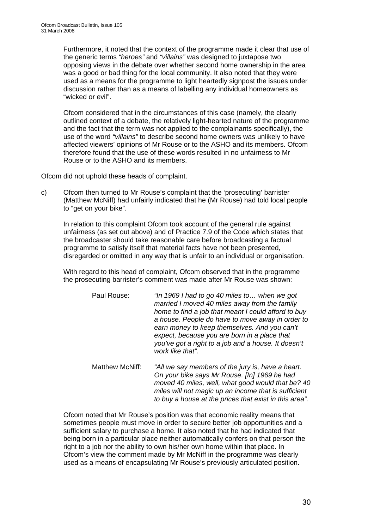Furthermore, it noted that the context of the programme made it clear that use of the generic terms *"heroes"* and *"villains"* was designed to juxtapose two opposing views in the debate over whether second home ownership in the area was a good or bad thing for the local community. It also noted that they were used as a means for the programme to light heartedly signpost the issues under discussion rather than as a means of labelling any individual homeowners as "wicked or evil".

Ofcom considered that in the circumstances of this case (namely, the clearly outlined context of a debate, the relatively light-hearted nature of the programme and the fact that the term was not applied to the complainants specifically), the use of the word *"villains"* to describe second home owners was unlikely to have affected viewers' opinions of Mr Rouse or to the ASHO and its members. Ofcom therefore found that the use of these words resulted in no unfairness to Mr Rouse or to the ASHO and its members.

Ofcom did not uphold these heads of complaint.

c) Ofcom then turned to Mr Rouse's complaint that the 'prosecuting' barrister (Matthew McNiff) had unfairly indicated that he (Mr Rouse) had told local people to "get on your bike".

In relation to this complaint Ofcom took account of the general rule against unfairness (as set out above) and of Practice 7.9 of the Code which states that the broadcaster should take reasonable care before broadcasting a factual programme to satisfy itself that material facts have not been presented, disregarded or omitted in any way that is unfair to an individual or organisation.

With regard to this head of complaint, Ofcom observed that in the programme the prosecuting barrister's comment was made after Mr Rouse was shown:

| Paul Rouse: | "In 1969 I had to go 40 miles to when we got<br>married I moved 40 miles away from the family<br>home to find a job that meant I could afford to buy<br>a house. People do have to move away in order to<br>earn money to keep themselves. And you can't<br>expect, because you are born in a place that<br>you've got a right to a job and a house. It doesn't<br>work like that". |
|-------------|-------------------------------------------------------------------------------------------------------------------------------------------------------------------------------------------------------------------------------------------------------------------------------------------------------------------------------------------------------------------------------------|
|             |                                                                                                                                                                                                                                                                                                                                                                                     |

Matthew McNiff: *"All we say members of the jury is, have a heart. On your bike says Mr Rouse. [In] 1969 he had moved 40 miles, well, what good would that be? 40 miles will not magic up an income that is sufficient to buy a house at the prices that exist in this area".* 

Ofcom noted that Mr Rouse's position was that economic reality means that sometimes people must move in order to secure better job opportunities and a sufficient salary to purchase a home. It also noted that he had indicated that being born in a particular place neither automatically confers on that person the right to a job nor the ability to own his/her own home within that place. In Ofcom's view the comment made by Mr McNiff in the programme was clearly used as a means of encapsulating Mr Rouse's previously articulated position.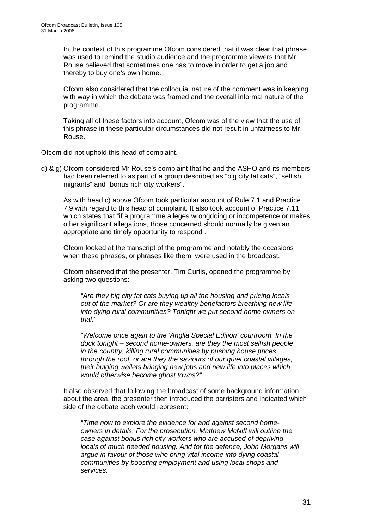In the context of this programme Ofcom considered that it was clear that phrase was used to remind the studio audience and the programme viewers that Mr Rouse believed that sometimes one has to move in order to get a job and thereby to buy one's own home.

Ofcom also considered that the colloquial nature of the comment was in keeping with way in which the debate was framed and the overall informal nature of the programme.

Taking all of these factors into account, Ofcom was of the view that the use of this phrase in these particular circumstances did not result in unfairness to Mr Rouse.

Ofcom did not uphold this head of complaint.

d) & g) Ofcom considered Mr Rouse's complaint that he and the ASHO and its members had been referred to as part of a group described as "big city fat cats", "selfish migrants" and "bonus rich city workers".

As with head c) above Ofcom took particular account of Rule 7.1 and Practice 7.9 with regard to this head of complaint. It also took account of Practice 7.11 which states that "if a programme alleges wrongdoing or incompetence or makes other significant allegations, those concerned should normally be given an appropriate and timely opportunity to respond".

Ofcom looked at the transcript of the programme and notably the occasions when these phrases, or phrases like them, were used in the broadcast.

Ofcom observed that the presenter, Tim Curtis, opened the programme by asking two questions:

*"Are they big city fat cats buying up all the housing and pricing locals out of the market? Or are they wealthy benefactors breathing new life into dying rural communities? Tonight we put second home owners on trial."* 

*"Welcome once again to the 'Anglia Special Edition' courtroom. In the dock tonight – second home-owners, are they the most selfish people in the country, killing rural communities by pushing house prices through the roof, or are they the saviours of our quiet coastal villages, their bulging wallets bringing new jobs and new life into places which would otherwise become ghost towns?"* 

It also observed that following the broadcast of some background information about the area, the presenter then introduced the barristers and indicated which side of the debate each would represent:

*"Time now to explore the evidence for and against second homeowners in details. For the prosecution, Matthew McNiff will outline the case against bonus rich city workers who are accused of depriving locals of much needed housing. And for the defence, John Morgans will argue in favour of those who bring vital income into dying coastal communities by boosting employment and using local shops and services."*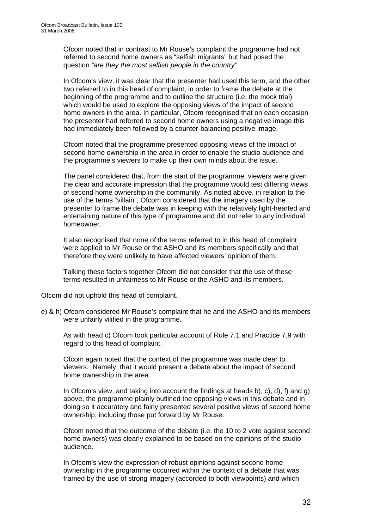Ofcom noted that in contrast to Mr Rouse's complaint the programme had not referred to second home owners as "selfish migrants" but had posed the question *"are they the most selfish people in the country"*.

In Ofcom's view, it was clear that the presenter had used this term, and the other two referred to in this head of complaint, in order to frame the debate at the beginning of the programme and to outline the structure (i.e. the mock trial) which would be used to explore the opposing views of the impact of second home owners in the area. In particular, Ofcom recognised that on each occasion the presenter had referred to second home owners using a negative image this had immediately been followed by a counter-balancing positive image.

Ofcom noted that the programme presented opposing views of the impact of second home ownership in the area in order to enable the studio audience and the programme's viewers to make up their own minds about the issue.

The panel considered that, from the start of the programme, viewers were given the clear and accurate impression that the programme would test differing views of second home ownership in the community. As noted above, in relation to the use of the terms "villain", Ofcom considered that the imagery used by the presenter to frame the debate was in keeping with the relatively light-hearted and entertaining nature of this type of programme and did not refer to any individual homeowner.

It also recognised that none of the terms referred to in this head of complaint were applied to Mr Rouse or the ASHO and its members specifically and that therefore they were unlikely to have affected viewers' opinion of them.

Talking these factors together Ofcom did not consider that the use of these terms resulted in unfairness to Mr Rouse or the ASHO and its members.

Ofcom did not uphold this head of complaint.

e) & h) Ofcom considered Mr Rouse's complaint that he and the ASHO and its members were unfairly vilified in the programme.

As with head c) Ofcom took particular account of Rule 7.1 and Practice 7.9 with regard to this head of complaint.

Ofcom again noted that the context of the programme was made clear to viewers. Namely, that it would present a debate about the impact of second home ownership in the area.

In Ofcom's view, and taking into account the findings at heads b), c), d), f) and g) above, the programme plainly outlined the opposing views in this debate and in doing so it accurately and fairly presented several positive views of second home ownership, including those put forward by Mr Rouse.

Ofcom noted that the outcome of the debate (i.e. the 10 to 2 vote against second home owners) was clearly explained to be based on the opinions of the studio audience.

In Ofcom's view the expression of robust opinions against second home ownership in the programme occurred within the context of a debate that was framed by the use of strong imagery (accorded to both viewpoints) and which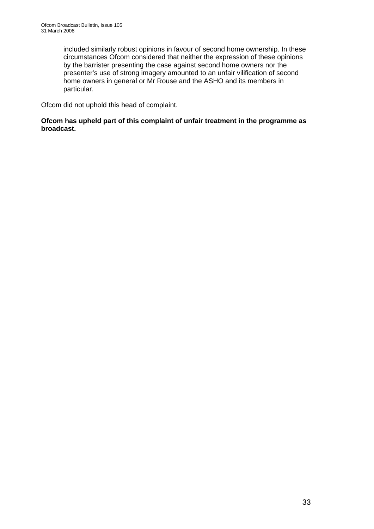included similarly robust opinions in favour of second home ownership. In these circumstances Ofcom considered that neither the expression of these opinions by the barrister presenting the case against second home owners nor the presenter's use of strong imagery amounted to an unfair vilification of second home owners in general or Mr Rouse and the ASHO and its members in particular.

Ofcom did not uphold this head of complaint.

**Ofcom has upheld part of this complaint of unfair treatment in the programme as broadcast.**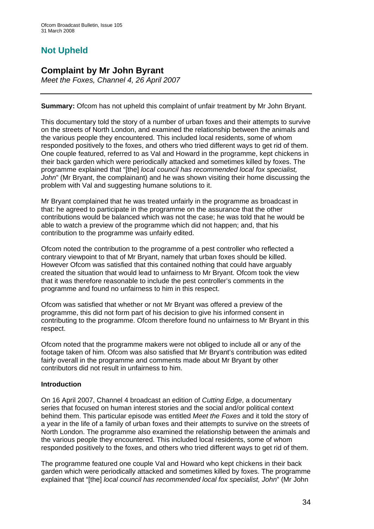### **Not Upheld**

### **Complaint by Mr John Byrant**

*Meet the Foxes, Channel 4, 26 April 2007* 

**Summary:** Ofcom has not upheld this complaint of unfair treatment by Mr John Bryant.

This documentary told the story of a number of urban foxes and their attempts to survive on the streets of North London, and examined the relationship between the animals and the various people they encountered. This included local residents, some of whom responded positively to the foxes, and others who tried different ways to get rid of them. One couple featured, referred to as Val and Howard in the programme, kept chickens in their back garden which were periodically attacked and sometimes killed by foxes. The programme explained that "[the] *local council has recommended local fox specialist, John*" (Mr Bryant, the complainant) and he was shown visiting their home discussing the problem with Val and suggesting humane solutions to it.

Mr Bryant complained that he was treated unfairly in the programme as broadcast in that: he agreed to participate in the programme on the assurance that the other contributions would be balanced which was not the case; he was told that he would be able to watch a preview of the programme which did not happen; and, that his contribution to the programme was unfairly edited.

Ofcom noted the contribution to the programme of a pest controller who reflected a contrary viewpoint to that of Mr Bryant, namely that urban foxes should be killed. However Ofcom was satisfied that this contained nothing that could have arguably created the situation that would lead to unfairness to Mr Bryant. Ofcom took the view that it was therefore reasonable to include the pest controller's comments in the programme and found no unfairness to him in this respect.

Ofcom was satisfied that whether or not Mr Bryant was offered a preview of the programme, this did not form part of his decision to give his informed consent in contributing to the programme. Ofcom therefore found no unfairness to Mr Bryant in this respect.

Ofcom noted that the programme makers were not obliged to include all or any of the footage taken of him. Ofcom was also satisfied that Mr Bryant's contribution was edited fairly overall in the programme and comments made about Mr Bryant by other contributors did not result in unfairness to him.

#### **Introduction**

On 16 April 2007, Channel 4 broadcast an edition of *Cutting Edge*, a documentary series that focused on human interest stories and the social and/or political context behind them. This particular episode was entitled *Meet the Foxes* and it told the story of a year in the life of a family of urban foxes and their attempts to survive on the streets of North London. The programme also examined the relationship between the animals and the various people they encountered. This included local residents, some of whom responded positively to the foxes, and others who tried different ways to get rid of them.

The programme featured one couple Val and Howard who kept chickens in their back garden which were periodically attacked and sometimes killed by foxes. The programme explained that "[the] *local council has recommended local fox specialist, John*" (Mr John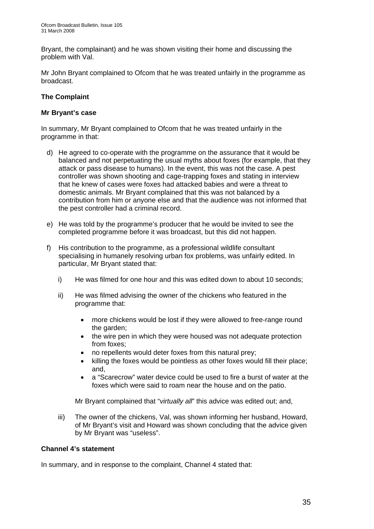Bryant, the complainant) and he was shown visiting their home and discussing the problem with Val.

Mr John Bryant complained to Ofcom that he was treated unfairly in the programme as broadcast.

#### **The Complaint**

#### **Mr Bryant's case**

In summary, Mr Bryant complained to Ofcom that he was treated unfairly in the programme in that:

- d) He agreed to co-operate with the programme on the assurance that it would be balanced and not perpetuating the usual myths about foxes (for example, that they attack or pass disease to humans). In the event, this was not the case. A pest controller was shown shooting and cage-trapping foxes and stating in interview that he knew of cases were foxes had attacked babies and were a threat to domestic animals. Mr Bryant complained that this was not balanced by a contribution from him or anyone else and that the audience was not informed that the pest controller had a criminal record.
- e) He was told by the programme's producer that he would be invited to see the completed programme before it was broadcast, but this did not happen.
- f) His contribution to the programme, as a professional wildlife consultant specialising in humanely resolving urban fox problems, was unfairly edited. In particular, Mr Bryant stated that:
	- i) He was filmed for one hour and this was edited down to about 10 seconds;
	- ii) He was filmed advising the owner of the chickens who featured in the programme that:
		- more chickens would be lost if they were allowed to free-range round the garden:
		- the wire pen in which they were housed was not adequate protection from foxes;
		- no repellents would deter foxes from this natural prey;
		- killing the foxes would be pointless as other foxes would fill their place; and,
		- a "Scarecrow" water device could be used to fire a burst of water at the foxes which were said to roam near the house and on the patio.

Mr Bryant complained that "*virtually all*" this advice was edited out; and,

iii) The owner of the chickens, Val, was shown informing her husband, Howard, of Mr Bryant's visit and Howard was shown concluding that the advice given by Mr Bryant was "useless".

#### **Channel 4's statement**

In summary, and in response to the complaint, Channel 4 stated that: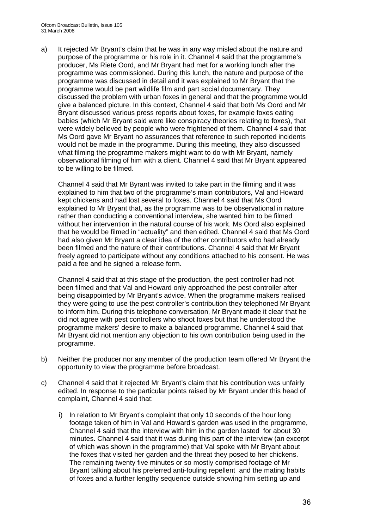a) It rejected Mr Bryant's claim that he was in any way misled about the nature and purpose of the programme or his role in it. Channel 4 said that the programme's producer, Ms Riete Oord, and Mr Bryant had met for a working lunch after the programme was commissioned. During this lunch, the nature and purpose of the programme was discussed in detail and it was explained to Mr Bryant that the programme would be part wildlife film and part social documentary. They discussed the problem with urban foxes in general and that the programme would give a balanced picture. In this context, Channel 4 said that both Ms Oord and Mr Bryant discussed various press reports about foxes, for example foxes eating babies (which Mr Bryant said were like conspiracy theories relating to foxes), that were widely believed by people who were frightened of them. Channel 4 said that Ms Oord gave Mr Bryant no assurances that reference to such reported incidents would not be made in the programme. During this meeting, they also discussed what filming the programme makers might want to do with Mr Bryant, namely observational filming of him with a client. Channel 4 said that Mr Bryant appeared to be willing to be filmed.

Channel 4 said that Mr Byrant was invited to take part in the filming and it was explained to him that two of the programme's main contributors, Val and Howard kept chickens and had lost several to foxes. Channel 4 said that Ms Oord explained to Mr Bryant that, as the programme was to be observational in nature rather than conducting a conventional interview, she wanted him to be filmed without her intervention in the natural course of his work. Ms Oord also explained that he would be filmed in "actuality" and then edited. Channel 4 said that Ms Oord had also given Mr Bryant a clear idea of the other contributors who had already been filmed and the nature of their contributions. Channel 4 said that Mr Bryant freely agreed to participate without any conditions attached to his consent. He was paid a fee and he signed a release form.

Channel 4 said that at this stage of the production, the pest controller had not been filmed and that Val and Howard only approached the pest controller after being disappointed by Mr Bryant's advice. When the programme makers realised they were going to use the pest controller's contribution they telephoned Mr Bryant to inform him. During this telephone conversation, Mr Bryant made it clear that he did not agree with pest controllers who shoot foxes but that he understood the programme makers' desire to make a balanced programme. Channel 4 said that Mr Bryant did not mention any objection to his own contribution being used in the programme.

- b) Neither the producer nor any member of the production team offered Mr Bryant the opportunity to view the programme before broadcast.
- c) Channel 4 said that it rejected Mr Bryant's claim that his contribution was unfairly edited. In response to the particular points raised by Mr Bryant under this head of complaint, Channel 4 said that:
	- i) In relation to Mr Bryant's complaint that only 10 seconds of the hour long footage taken of him in Val and Howard's garden was used in the programme, Channel 4 said that the interview with him in the garden lasted for about 30 minutes. Channel 4 said that it was during this part of the interview (an excerpt of which was shown in the programme) that Val spoke with Mr Bryant about the foxes that visited her garden and the threat they posed to her chickens. The remaining twenty five minutes or so mostly comprised footage of Mr Bryant talking about his preferred anti-fouling repellent and the mating habits of foxes and a further lengthy sequence outside showing him setting up and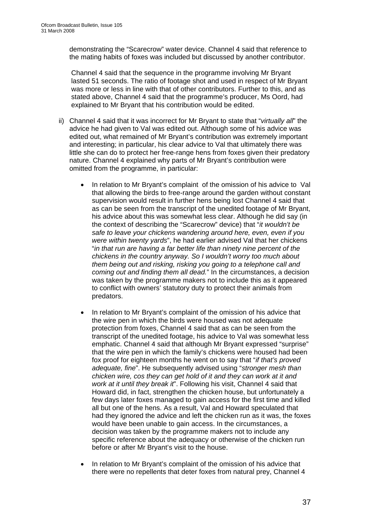demonstrating the "Scarecrow" water device. Channel 4 said that reference to the mating habits of foxes was included but discussed by another contributor.

Channel 4 said that the sequence in the programme involving Mr Bryant lasted 51 seconds. The ratio of footage shot and used in respect of Mr Bryant was more or less in line with that of other contributors. Further to this, and as stated above, Channel 4 said that the programme's producer, Ms Oord, had explained to Mr Bryant that his contribution would be edited.

- ii) Channel 4 said that it was incorrect for Mr Bryant to state that "*virtually all*" the advice he had given to Val was edited out. Although some of his advice was edited out, what remained of Mr Bryant's contribution was extremely important and interesting; in particular, his clear advice to Val that ultimately there was little she can do to protect her free-range hens from foxes given their predatory nature. Channel 4 explained why parts of Mr Bryant's contribution were omitted from the programme, in particular:
	- In relation to Mr Bryant's complaint of the omission of his advice to Val that allowing the birds to free-range around the garden without constant supervision would result in further hens being lost Channel 4 said that as can be seen from the transcript of the unedited footage of Mr Bryant, his advice about this was somewhat less clear. Although he did say (in the context of describing the "Scarecrow" device) that "*it wouldn't be safe to leave your chickens wandering around here, even, even if you were within twenty yards*", he had earlier advised Val that her chickens "*in that run are having a far better life than ninety nine percent of the chickens in the country anyway. So I wouldn't worry too much about them being out and risking, risking you going to a telephone call and coming out and finding them all dead.*" In the circumstances, a decision was taken by the programme makers not to include this as it appeared to conflict with owners' statutory duty to protect their animals from predators.
	- In relation to Mr Bryant's complaint of the omission of his advice that the wire pen in which the birds were housed was not adequate protection from foxes, Channel 4 said that as can be seen from the transcript of the unedited footage, his advice to Val was somewhat less emphatic. Channel 4 said that although Mr Bryant expressed "surprise" that the wire pen in which the family's chickens were housed had been fox proof for eighteen months he went on to say that "*if that's proved adequate, fine*". He subsequently advised using "*stronger mesh than chicken wire, cos they can get hold of it and they can work at it and work at it until they break it*". Following his visit, Channel 4 said that Howard did, in fact, strengthen the chicken house, but unfortunately a few days later foxes managed to gain access for the first time and killed all but one of the hens. As a result, Val and Howard speculated that had they ignored the advice and left the chicken run as it was, the foxes would have been unable to gain access. In the circumstances, a decision was taken by the programme makers not to include any specific reference about the adequacy or otherwise of the chicken run before or after Mr Bryant's visit to the house.
	- In relation to Mr Bryant's complaint of the omission of his advice that there were no repellents that deter foxes from natural prey, Channel 4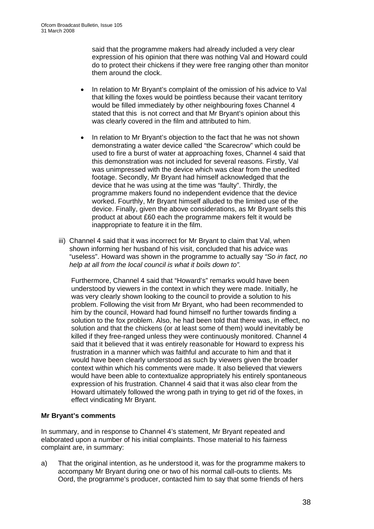said that the programme makers had already included a very clear expression of his opinion that there was nothing Val and Howard could do to protect their chickens if they were free ranging other than monitor them around the clock.

- In relation to Mr Bryant's complaint of the omission of his advice to Val that killing the foxes would be pointless because their vacant territory would be filled immediately by other neighbouring foxes Channel 4 stated that this is not correct and that Mr Bryant's opinion about this was clearly covered in the film and attributed to him.
- In relation to Mr Bryant's objection to the fact that he was not shown demonstrating a water device called "the Scarecrow" which could be used to fire a burst of water at approaching foxes, Channel 4 said that this demonstration was not included for several reasons. Firstly, Val was unimpressed with the device which was clear from the unedited footage. Secondly, Mr Bryant had himself acknowledged that the device that he was using at the time was "faulty". Thirdly, the programme makers found no independent evidence that the device worked. Fourthly, Mr Bryant himself alluded to the limited use of the device. Finally, given the above considerations, as Mr Bryant sells this product at about £60 each the programme makers felt it would be inappropriate to feature it in the film.
- iii) Channel 4 said that it was incorrect for Mr Bryant to claim that Val, when shown informing her husband of his visit, concluded that his advice was "useless". Howard was shown in the programme to actually say *"So in fact, no help at all from the local council is what it boils down to".*

Furthermore, Channel 4 said that "Howard's" remarks would have been understood by viewers in the context in which they were made. Initially, he was very clearly shown looking to the council to provide a solution to his problem. Following the visit from Mr Bryant, who had been recommended to him by the council, Howard had found himself no further towards finding a solution to the fox problem. Also, he had been told that there was, in effect, no solution and that the chickens (or at least some of them) would inevitably be killed if they free-ranged unless they were continuously monitored. Channel 4 said that it believed that it was entirely reasonable for Howard to express his frustration in a manner which was faithful and accurate to him and that it would have been clearly understood as such by viewers given the broader context within which his comments were made. It also believed that viewers would have been able to contextualize appropriately his entirely spontaneous expression of his frustration. Channel 4 said that it was also clear from the Howard ultimately followed the wrong path in trying to get rid of the foxes, in effect vindicating Mr Bryant.

#### **Mr Bryant's comments**

In summary, and in response to Channel 4's statement, Mr Bryant repeated and elaborated upon a number of his initial complaints. Those material to his fairness complaint are, in summary:

a) That the original intention, as he understood it, was for the programme makers to accompany Mr Bryant during one or two of his normal call-outs to clients. Ms Oord, the programme's producer, contacted him to say that some friends of hers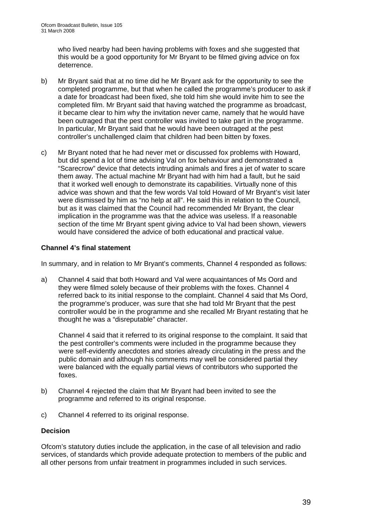who lived nearby had been having problems with foxes and she suggested that this would be a good opportunity for Mr Bryant to be filmed giving advice on fox deterrence.

- b) Mr Bryant said that at no time did he Mr Bryant ask for the opportunity to see the completed programme, but that when he called the programme's producer to ask if a date for broadcast had been fixed, she told him she would invite him to see the completed film. Mr Bryant said that having watched the programme as broadcast, it became clear to him why the invitation never came, namely that he would have been outraged that the pest controller was invited to take part in the programme. In particular, Mr Bryant said that he would have been outraged at the pest controller's unchallenged claim that children had been bitten by foxes.
- c) Mr Bryant noted that he had never met or discussed fox problems with Howard, but did spend a lot of time advising Val on fox behaviour and demonstrated a "Scarecrow" device that detects intruding animals and fires a jet of water to scare them away. The actual machine Mr Bryant had with him had a fault, but he said that it worked well enough to demonstrate its capabilities. Virtually none of this advice was shown and that the few words Val told Howard of Mr Bryant's visit later were dismissed by him as "no help at all". He said this in relation to the Council, but as it was claimed that the Council had recommended Mr Bryant, the clear implication in the programme was that the advice was useless. If a reasonable section of the time Mr Bryant spent giving advice to Val had been shown, viewers would have considered the advice of both educational and practical value.

#### **Channel 4's final statement**

In summary, and in relation to Mr Bryant's comments, Channel 4 responded as follows:

a) Channel 4 said that both Howard and Val were acquaintances of Ms Oord and they were filmed solely because of their problems with the foxes. Channel 4 referred back to its initial response to the complaint. Channel 4 said that Ms Oord, the programme's producer, was sure that she had told Mr Bryant that the pest controller would be in the programme and she recalled Mr Bryant restating that he thought he was a "disreputable" character.

Channel 4 said that it referred to its original response to the complaint. It said that the pest controller's comments were included in the programme because they were self-evidently anecdotes and stories already circulating in the press and the public domain and although his comments may well be considered partial they were balanced with the equally partial views of contributors who supported the foxes.

- b) Channel 4 rejected the claim that Mr Bryant had been invited to see the programme and referred to its original response.
- c) Channel 4 referred to its original response.

#### **Decision**

Ofcom's statutory duties include the application, in the case of all television and radio services, of standards which provide adequate protection to members of the public and all other persons from unfair treatment in programmes included in such services.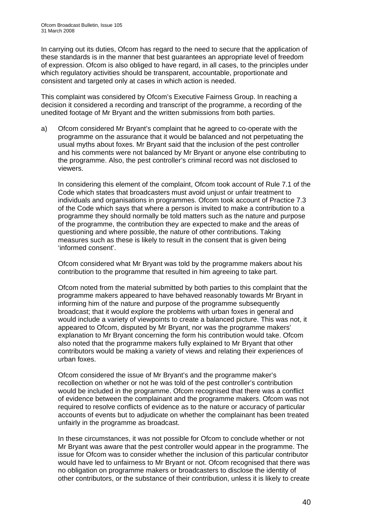In carrying out its duties, Ofcom has regard to the need to secure that the application of these standards is in the manner that best guarantees an appropriate level of freedom of expression. Ofcom is also obliged to have regard, in all cases, to the principles under which regulatory activities should be transparent, accountable, proportionate and consistent and targeted only at cases in which action is needed.

This complaint was considered by Ofcom's Executive Fairness Group. In reaching a decision it considered a recording and transcript of the programme, a recording of the unedited footage of Mr Bryant and the written submissions from both parties.

a) Ofcom considered Mr Bryant's complaint that he agreed to co-operate with the programme on the assurance that it would be balanced and not perpetuating the usual myths about foxes. Mr Bryant said that the inclusion of the pest controller and his comments were not balanced by Mr Bryant or anyone else contributing to the programme. Also, the pest controller's criminal record was not disclosed to viewers.

 In considering this element of the complaint, Ofcom took account of Rule 7.1 of the Code which states that broadcasters must avoid unjust or unfair treatment to individuals and organisations in programmes. Ofcom took account of Practice 7.3 of the Code which says that where a person is invited to make a contribution to a programme they should normally be told matters such as the nature and purpose of the programme, the contribution they are expected to make and the areas of questioning and where possible, the nature of other contributions. Taking measures such as these is likely to result in the consent that is given being 'informed consent'.

 Ofcom considered what Mr Bryant was told by the programme makers about his contribution to the programme that resulted in him agreeing to take part.

 Ofcom noted from the material submitted by both parties to this complaint that the programme makers appeared to have behaved reasonably towards Mr Bryant in informing him of the nature and purpose of the programme subsequently broadcast; that it would explore the problems with urban foxes in general and would include a variety of viewpoints to create a balanced picture. This was not, it appeared to Ofcom, disputed by Mr Bryant, nor was the programme makers' explanation to Mr Bryant concerning the form his contribution would take. Ofcom also noted that the programme makers fully explained to Mr Bryant that other contributors would be making a variety of views and relating their experiences of urban foxes.

 Ofcom considered the issue of Mr Bryant's and the programme maker's recollection on whether or not he was told of the pest controller's contribution would be included in the programme. Ofcom recognised that there was a conflict of evidence between the complainant and the programme makers. Ofcom was not required to resolve conflicts of evidence as to the nature or accuracy of particular accounts of events but to adjudicate on whether the complainant has been treated unfairly in the programme as broadcast.

 In these circumstances, it was not possible for Ofcom to conclude whether or not Mr Bryant was aware that the pest controller would appear in the programme. The issue for Ofcom was to consider whether the inclusion of this particular contributor would have led to unfairness to Mr Bryant or not. Ofcom recognised that there was no obligation on programme makers or broadcasters to disclose the identity of other contributors, or the substance of their contribution, unless it is likely to create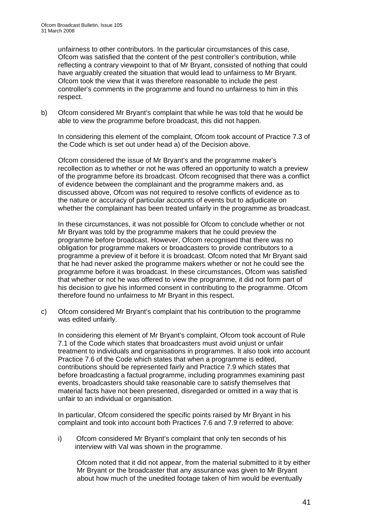unfairness to other contributors. In the particular circumstances of this case, Ofcom was satisfied that the content of the pest controller's contribution, while reflecting a contrary viewpoint to that of Mr Bryant, consisted of nothing that could have arguably created the situation that would lead to unfairness to Mr Bryant. Ofcom took the view that it was therefore reasonable to include the pest controller's comments in the programme and found no unfairness to him in this respect.

b) Ofcom considered Mr Bryant's complaint that while he was told that he would be able to view the programme before broadcast, this did not happen.

 In considering this element of the complaint, Ofcom took account of Practice 7.3 of the Code which is set out under head a) of the Decision above.

 Ofcom considered the issue of Mr Bryant's and the programme maker's recollection as to whether or not he was offered an opportunity to watch a preview of the programme before its broadcast. Ofcom recognised that there was a conflict of evidence between the complainant and the programme makers and, as discussed above, Ofcom was not required to resolve conflicts of evidence as to the nature or accuracy of particular accounts of events but to adjudicate on whether the complainant has been treated unfairly in the programme as broadcast.

 In these circumstances, it was not possible for Ofcom to conclude whether or not Mr Bryant was told by the programme makers that he could preview the programme before broadcast. However, Ofcom recognised that there was no obligation for programme makers or broadcasters to provide contributors to a programme a preview of it before it is broadcast. Ofcom noted that Mr Bryant said that he had never asked the programme makers whether or not he could see the programme before it was broadcast. In these circumstances, Ofcom was satisfied that whether or not he was offered to view the programme, it did not form part of his decision to give his informed consent in contributing to the programme. Ofcom therefore found no unfairness to Mr Bryant in this respect.

c) Ofcom considered Mr Bryant's complaint that his contribution to the programme was edited unfairly.

 In considering this element of Mr Bryant's complaint, Ofcom took account of Rule 7.1 of the Code which states that broadcasters must avoid unjust or unfair treatment to individuals and organisations in programmes. It also took into account Practice 7.6 of the Code which states that when a programme is edited, contributions should be represented fairly and Practice 7.9 which states that before broadcasting a factual programme, including programmes examining past events, broadcasters should take reasonable care to satisfy themselves that material facts have not been presented, disregarded or omitted in a way that is unfair to an individual or organisation.

 In particular, Ofcom considered the specific points raised by Mr Bryant in his complaint and took into account both Practices 7.6 and 7.9 referred to above:

i) Ofcom considered Mr Bryant's complaint that only ten seconds of his interview with Val was shown in the programme.

Ofcom noted that it did not appear, from the material submitted to it by either Mr Bryant or the broadcaster that any assurance was given to Mr Bryant about how much of the unedited footage taken of him would be eventually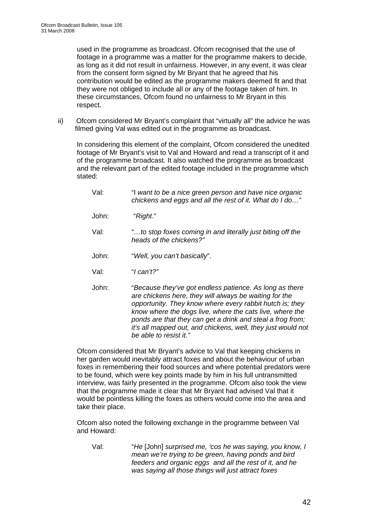used in the programme as broadcast. Ofcom recognised that the use of footage in a programme was a matter for the programme makers to decide, as long as it did not result in unfairness. However, in any event, it was clear from the consent form signed by Mr Bryant that he agreed that his contribution would be edited as the programme makers deemed fit and that they were not obliged to include all or any of the footage taken of him. In these circumstances, Ofcom found no unfairness to Mr Bryant in this respect.

ii) Ofcom considered Mr Bryant's complaint that "virtually all" the advice he was filmed giving Val was edited out in the programme as broadcast.

In considering this element of the complaint, Ofcom considered the unedited footage of Mr Bryant's visit to Val and Howard and read a transcript of it and of the programme broadcast. It also watched the programme as broadcast and the relevant part of the edited footage included in the programme which stated:

- Val: "I *want to be a nice green person and have nice organic chickens and eggs and all the rest of it. What do I do…"* John: "*Right*." Val: "*…to stop foxes coming in and literally just biting off the heads of the chickens?"*  John: "*Well, you can't basically*".
- Val: "*I can't?"*
- John: "*Because they've got endless patience. As long as there are chickens here, they will always be waiting for the opportunity. They know where every rabbit hutch is; they know where the dogs live, where the cats live, where the ponds are that they can get a drink and steal a frog from; it's all mapped out, and chickens, well, they just would not be able to resist it."*

Ofcom considered that Mr Bryant's advice to Val that keeping chickens in her garden would inevitably attract foxes and about the behaviour of urban foxes in remembering their food sources and where potential predators were to be found, which were key points made by him in his full untransmitted interview, was fairly presented in the programme. Ofcom also took the view that the programme made it clear that Mr Bryant had advised Val that it would be pointless killing the foxes as others would come into the area and take their place.

Ofcom also noted the following exchange in the programme between Val and Howard:

Val: "*He* [John] *surprised me, 'cos he was saying, you know, I mean we're trying to be green, having ponds and bird feeders and organic eggs and all the rest of it, and he was saying all those things will just attract foxes*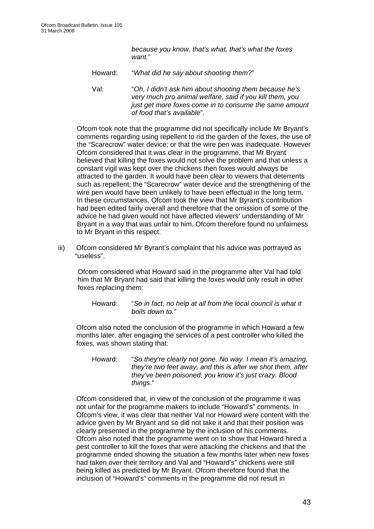*because you know, that's what, that's what the foxes want.*"

Howard: "*What did he say about shooting them?*"

Val: "*Oh, I didn't ask him about shooting them because he's very much pro animal welfare, said if you kill them, you just get more foxes come in to consume the same amount of food that's available*".

Ofcom took note that the programme did not specifically include Mr Bryant's comments regarding using repellent to rid the garden of the foxes, the use of the "Scarecrow" water device; or that the wire pen was inadequate. However Ofcom considered that it was clear in the programme, that Mr Bryant believed that killing the foxes would not solve the problem and that unless a constant vigil was kept over the chickens then foxes would always be attracted to the garden. It would have been clear to viewers that deterrents such as repellent; the "Scarecrow" water device and the strengthening of the wire pen would have been unlikely to have been effectual in the long term. In these circumstances, Ofcom took the view that Mr Byrant's contribution had been edited fairly overall and therefore that the omission of some of the advice he had given would not have affected viewers' understanding of Mr Bryant in a way that was unfair to him. Ofcom therefore found no unfairness to Mr Bryant in this respect.

iii) Ofcom considered Mr Byrant's complaint that his advice was portrayed as "useless".

Ofcom considered what Howard said in the programme after Val had told him that Mr Bryant had said that killing the foxes would only result in other foxes replacing them:

Howard: "*So in fact, no help at all from the local council is what it boils down to."* 

Ofcom also noted the conclusion of the programme in which Howard a few months later, after engaging the services of a pest controller who killed the foxes, was shown stating that:

Howard: "*So they're clearly not gone. No way. I mean it's amazing, they're two feet away, and this is after we shot them, after they've been poisoned, you know it's just crazy. Blood things*."

Ofcom considered that, in view of the conclusion of the programme it was not unfair for the programme makers to include "Howard's" comments. In Ofcom's view, it was clear that neither Val nor Howard were content with the advice given by Mr Bryant and so did not take it and that their position was clearly presented in the programme by the inclusion of his comments. Ofcom also noted that the programme went on to show that Howard hired a pest controller to kill the foxes that were attacking the chickens and that the programme ended showing the situation a few months later when new foxes had taken over their territory and Val and "Howard's" chickens were still being killed as predicted by Mr Bryant. Ofcom therefore found that the inclusion of "Howard's" comments in the programme did not result in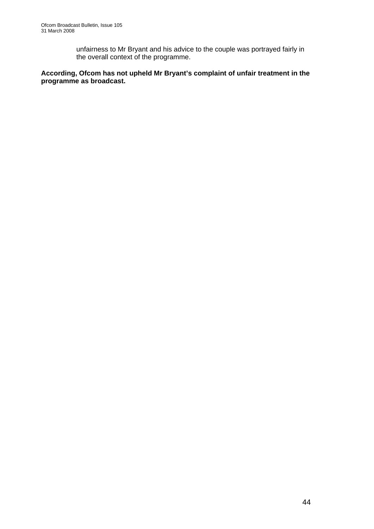unfairness to Mr Bryant and his advice to the couple was portrayed fairly in the overall context of the programme.

#### **According, Ofcom has not upheld Mr Bryant's complaint of unfair treatment in the programme as broadcast.**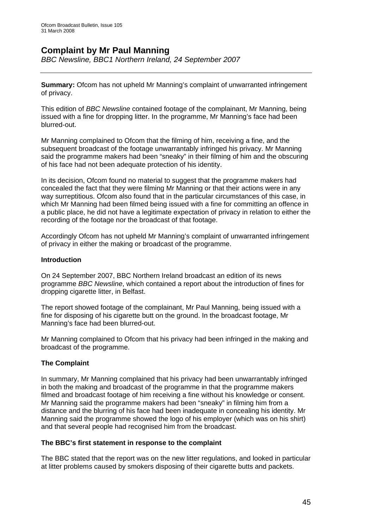### **Complaint by Mr Paul Manning**

*BBC Newsline, BBC1 Northern Ireland, 24 September 2007* 

**Summary:** Ofcom has not upheld Mr Manning's complaint of unwarranted infringement of privacy.

This edition of *BBC Newsline* contained footage of the complainant, Mr Manning, being issued with a fine for dropping litter. In the programme, Mr Manning's face had been blurred-out.

Mr Manning complained to Ofcom that the filming of him, receiving a fine, and the subsequent broadcast of the footage unwarrantably infringed his privacy. Mr Manning said the programme makers had been "sneaky" in their filming of him and the obscuring of his face had not been adequate protection of his identity.

In its decision, Ofcom found no material to suggest that the programme makers had concealed the fact that they were filming Mr Manning or that their actions were in any way surreptitious. Ofcom also found that in the particular circumstances of this case, in which Mr Manning had been filmed being issued with a fine for committing an offence in a public place, he did not have a legitimate expectation of privacy in relation to either the recording of the footage nor the broadcast of that footage.

Accordingly Ofcom has not upheld Mr Manning's complaint of unwarranted infringement of privacy in either the making or broadcast of the programme.

#### **Introduction**

On 24 September 2007, BBC Northern Ireland broadcast an edition of its news programme *BBC Newsline*, which contained a report about the introduction of fines for dropping cigarette litter, in Belfast.

The report showed footage of the complainant, Mr Paul Manning, being issued with a fine for disposing of his cigarette butt on the ground. In the broadcast footage, Mr Manning's face had been blurred-out.

Mr Manning complained to Ofcom that his privacy had been infringed in the making and broadcast of the programme.

#### **The Complaint**

In summary, Mr Manning complained that his privacy had been unwarrantably infringed in both the making and broadcast of the programme in that the programme makers filmed and broadcast footage of him receiving a fine without his knowledge or consent. Mr Manning said the programme makers had been "sneaky" in filming him from a distance and the blurring of his face had been inadequate in concealing his identity. Mr Manning said the programme showed the logo of his employer (which was on his shirt) and that several people had recognised him from the broadcast.

#### **The BBC's first statement in response to the complaint**

The BBC stated that the report was on the new litter regulations, and looked in particular at litter problems caused by smokers disposing of their cigarette butts and packets.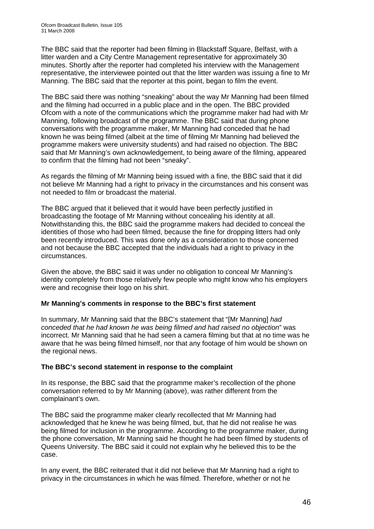The BBC said that the reporter had been filming in Blackstaff Square, Belfast, with a litter warden and a City Centre Management representative for approximately 30 minutes. Shortly after the reporter had completed his interview with the Management representative, the interviewee pointed out that the litter warden was issuing a fine to Mr Manning. The BBC said that the reporter at this point, began to film the event.

The BBC said there was nothing "sneaking" about the way Mr Manning had been filmed and the filming had occurred in a public place and in the open. The BBC provided Ofcom with a note of the communications which the programme maker had had with Mr Manning, following broadcast of the programme. The BBC said that during phone conversations with the programme maker, Mr Manning had conceded that he had known he was being filmed (albeit at the time of filming Mr Manning had believed the programme makers were university students) and had raised no objection. The BBC said that Mr Manning's own acknowledgement, to being aware of the filming, appeared to confirm that the filming had not been "sneaky".

As regards the filming of Mr Manning being issued with a fine, the BBC said that it did not believe Mr Manning had a right to privacy in the circumstances and his consent was not needed to film or broadcast the material.

The BBC argued that it believed that it would have been perfectly justified in broadcasting the footage of Mr Manning without concealing his identity at all. Notwithstanding this, the BBC said the programme makers had decided to conceal the identities of those who had been filmed, because the fine for dropping litters had only been recently introduced. This was done only as a consideration to those concerned and not because the BBC accepted that the individuals had a right to privacy in the circumstances.

Given the above, the BBC said it was under no obligation to conceal Mr Manning's identity completely from those relatively few people who might know who his employers were and recognise their logo on his shirt.

#### **Mr Manning's comments in response to the BBC's first statement**

In summary, Mr Manning said that the BBC's statement that "[Mr Manning] *had conceded that he had known he was being filmed and had raised no objection*" was incorrect. Mr Manning said that he had seen a camera filming but that at no time was he aware that he was being filmed himself, nor that any footage of him would be shown on the regional news.

#### **The BBC's second statement in response to the complaint**

In its response, the BBC said that the programme maker's recollection of the phone conversation referred to by Mr Manning (above), was rather different from the complainant's own.

The BBC said the programme maker clearly recollected that Mr Manning had acknowledged that he knew he was being filmed, but, that he did not realise he was being filmed for inclusion in the programme. According to the programme maker, during the phone conversation, Mr Manning said he thought he had been filmed by students of Queens University. The BBC said it could not explain why he believed this to be the case.

In any event, the BBC reiterated that it did not believe that Mr Manning had a right to privacy in the circumstances in which he was filmed. Therefore, whether or not he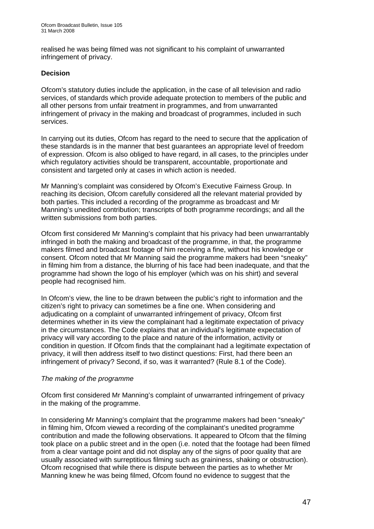realised he was being filmed was not significant to his complaint of unwarranted infringement of privacy.

#### **Decision**

Ofcom's statutory duties include the application, in the case of all television and radio services, of standards which provide adequate protection to members of the public and all other persons from unfair treatment in programmes, and from unwarranted infringement of privacy in the making and broadcast of programmes, included in such services.

In carrying out its duties, Ofcom has regard to the need to secure that the application of these standards is in the manner that best guarantees an appropriate level of freedom of expression. Ofcom is also obliged to have regard, in all cases, to the principles under which regulatory activities should be transparent, accountable, proportionate and consistent and targeted only at cases in which action is needed.

Mr Manning's complaint was considered by Ofcom's Executive Fairness Group. In reaching its decision, Ofcom carefully considered all the relevant material provided by both parties. This included a recording of the programme as broadcast and Mr Manning's unedited contribution; transcripts of both programme recordings; and all the written submissions from both parties.

Ofcom first considered Mr Manning's complaint that his privacy had been unwarrantably infringed in both the making and broadcast of the programme, in that, the programme makers filmed and broadcast footage of him receiving a fine, without his knowledge or consent. Ofcom noted that Mr Manning said the programme makers had been "sneaky" in filming him from a distance, the blurring of his face had been inadequate, and that the programme had shown the logo of his employer (which was on his shirt) and several people had recognised him.

In Ofcom's view, the line to be drawn between the public's right to information and the citizen's right to privacy can sometimes be a fine one. When considering and adjudicating on a complaint of unwarranted infringement of privacy, Ofcom first determines whether in its view the complainant had a legitimate expectation of privacy in the circumstances. The Code explains that an individual's legitimate expectation of privacy will vary according to the place and nature of the information, activity or condition in question. If Ofcom finds that the complainant had a legitimate expectation of privacy, it will then address itself to two distinct questions: First, had there been an infringement of privacy? Second, if so, was it warranted? (Rule 8.1 of the Code).

#### *The making of the programme*

Ofcom first considered Mr Manning's complaint of unwarranted infringement of privacy in the making of the programme.

In considering Mr Manning's complaint that the programme makers had been "sneaky" in filming him, Ofcom viewed a recording of the complainant's unedited programme contribution and made the following observations. It appeared to Ofcom that the filming took place on a public street and in the open (i.e. noted that the footage had been filmed from a clear vantage point and did not display any of the signs of poor quality that are usually associated with surreptitious filming such as graininess, shaking or obstruction). Ofcom recognised that while there is dispute between the parties as to whether Mr Manning knew he was being filmed, Ofcom found no evidence to suggest that the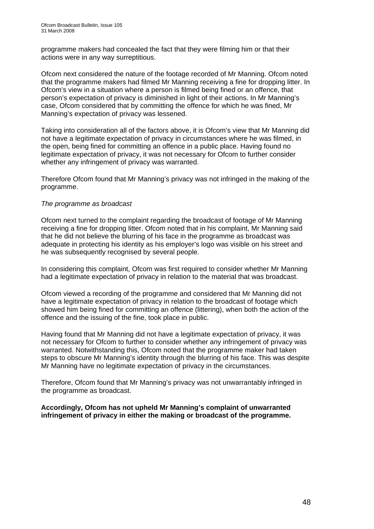programme makers had concealed the fact that they were filming him or that their actions were in any way surreptitious.

Ofcom next considered the nature of the footage recorded of Mr Manning. Ofcom noted that the programme makers had filmed Mr Manning receiving a fine for dropping litter. In Ofcom's view in a situation where a person is filmed being fined or an offence, that person's expectation of privacy is diminished in light of their actions. In Mr Manning's case, Ofcom considered that by committing the offence for which he was fined, Mr Manning's expectation of privacy was lessened.

Taking into consideration all of the factors above, it is Ofcom's view that Mr Manning did not have a legitimate expectation of privacy in circumstances where he was filmed, in the open, being fined for committing an offence in a public place. Having found no legitimate expectation of privacy, it was not necessary for Ofcom to further consider whether any infringement of privacy was warranted.

Therefore Ofcom found that Mr Manning's privacy was not infringed in the making of the programme.

#### *The programme as broadcast*

Ofcom next turned to the complaint regarding the broadcast of footage of Mr Manning receiving a fine for dropping litter. Ofcom noted that in his complaint, Mr Manning said that he did not believe the blurring of his face in the programme as broadcast was adequate in protecting his identity as his employer's logo was visible on his street and he was subsequently recognised by several people.

In considering this complaint, Ofcom was first required to consider whether Mr Manning had a legitimate expectation of privacy in relation to the material that was broadcast.

Ofcom viewed a recording of the programme and considered that Mr Manning did not have a legitimate expectation of privacy in relation to the broadcast of footage which showed him being fined for committing an offence (littering), when both the action of the offence and the issuing of the fine, took place in public.

Having found that Mr Manning did not have a legitimate expectation of privacy, it was not necessary for Ofcom to further to consider whether any infringement of privacy was warranted. Notwithstanding this, Ofcom noted that the programme maker had taken steps to obscure Mr Manning's identity through the blurring of his face. This was despite Mr Manning have no legitimate expectation of privacy in the circumstances.

Therefore, Ofcom found that Mr Manning's privacy was not unwarrantably infringed in the programme as broadcast.

**Accordingly, Ofcom has not upheld Mr Manning's complaint of unwarranted infringement of privacy in either the making or broadcast of the programme.**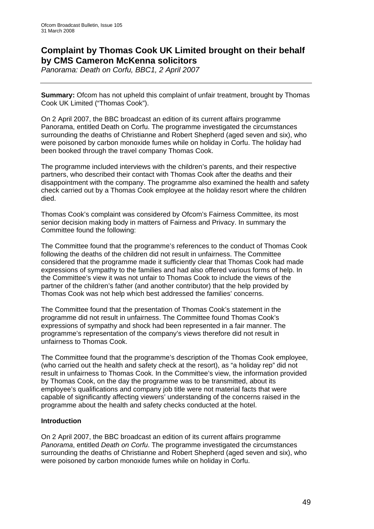### **Complaint by Thomas Cook UK Limited brought on their behalf by CMS Cameron McKenna solicitors**

*Panorama: Death on Corfu, BBC1, 2 April 2007* 

**Summary:** Ofcom has not upheld this complaint of unfair treatment, brought by Thomas Cook UK Limited ("Thomas Cook").

On 2 April 2007, the BBC broadcast an edition of its current affairs programme Panorama, entitled Death on Corfu. The programme investigated the circumstances surrounding the deaths of Christianne and Robert Shepherd (aged seven and six), who were poisoned by carbon monoxide fumes while on holiday in Corfu. The holiday had been booked through the travel company Thomas Cook.

The programme included interviews with the children's parents, and their respective partners, who described their contact with Thomas Cook after the deaths and their disappointment with the company. The programme also examined the health and safety check carried out by a Thomas Cook employee at the holiday resort where the children died.

Thomas Cook's complaint was considered by Ofcom's Fairness Committee, its most senior decision making body in matters of Fairness and Privacy. In summary the Committee found the following:

The Committee found that the programme's references to the conduct of Thomas Cook following the deaths of the children did not result in unfairness. The Committee considered that the programme made it sufficiently clear that Thomas Cook had made expressions of sympathy to the families and had also offered various forms of help. In the Committee's view it was not unfair to Thomas Cook to include the views of the partner of the children's father (and another contributor) that the help provided by Thomas Cook was not help which best addressed the families' concerns.

The Committee found that the presentation of Thomas Cook's statement in the programme did not result in unfairness. The Committee found Thomas Cook's expressions of sympathy and shock had been represented in a fair manner. The programme's representation of the company's views therefore did not result in unfairness to Thomas Cook.

The Committee found that the programme's description of the Thomas Cook employee, (who carried out the health and safety check at the resort), as "a holiday rep" did not result in unfairness to Thomas Cook. In the Committee's view, the information provided by Thomas Cook, on the day the programme was to be transmitted, about its employee's qualifications and company job title were not material facts that were capable of significantly affecting viewers' understanding of the concerns raised in the programme about the health and safety checks conducted at the hotel.

#### **Introduction**

On 2 April 2007, the BBC broadcast an edition of its current affairs programme *Panorama*, entitled *Death on Corfu*. The programme investigated the circumstances surrounding the deaths of Christianne and Robert Shepherd (aged seven and six), who were poisoned by carbon monoxide fumes while on holiday in Corfu.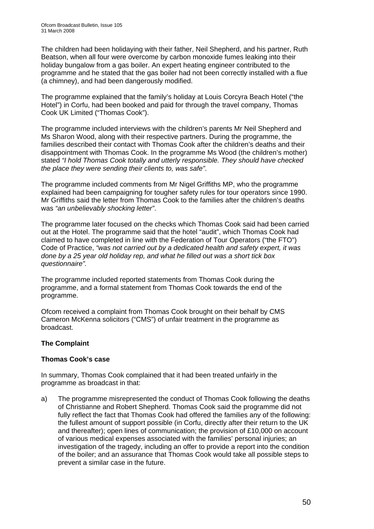The children had been holidaying with their father, Neil Shepherd, and his partner, Ruth Beatson, when all four were overcome by carbon monoxide fumes leaking into their holiday bungalow from a gas boiler. An expert heating engineer contributed to the programme and he stated that the gas boiler had not been correctly installed with a flue (a chimney), and had been dangerously modified.

The programme explained that the family's holiday at Louis Corcyra Beach Hotel ("the Hotel") in Corfu, had been booked and paid for through the travel company, Thomas Cook UK Limited ("Thomas Cook").

The programme included interviews with the children's parents Mr Neil Shepherd and Ms Sharon Wood, along with their respective partners. During the programme, the families described their contact with Thomas Cook after the children's deaths and their disappointment with Thomas Cook. In the programme Ms Wood (the children's mother) stated *"I hold Thomas Cook totally and utterly responsible. They should have checked the place they were sending their clients to, was safe"*.

The programme included comments from Mr Nigel Griffiths MP, who the programme explained had been campaigning for tougher safety rules for tour operators since 1990. Mr Griffiths said the letter from Thomas Cook to the families after the children's deaths was *"an unbelievably shocking letter"*.

The programme later focused on the checks which Thomas Cook said had been carried out at the Hotel. The programme said that the hotel "audit", which Thomas Cook had claimed to have completed in line with the Federation of Tour Operators ("the FTO") Code of Practice, *"was not carried out by a dedicated health and safety expert, it was done by a 25 year old holiday rep, and what he filled out was a short tick box questionnaire".* 

The programme included reported statements from Thomas Cook during the programme, and a formal statement from Thomas Cook towards the end of the programme.

Ofcom received a complaint from Thomas Cook brought on their behalf by CMS Cameron McKenna solicitors ("CMS") of unfair treatment in the programme as broadcast.

#### **The Complaint**

#### **Thomas Cook's case**

In summary, Thomas Cook complained that it had been treated unfairly in the programme as broadcast in that:

a) The programme misrepresented the conduct of Thomas Cook following the deaths of Christianne and Robert Shepherd. Thomas Cook said the programme did not fully reflect the fact that Thomas Cook had offered the families any of the following: the fullest amount of support possible (in Corfu, directly after their return to the UK and thereafter); open lines of communication; the provision of £10,000 on account of various medical expenses associated with the families' personal injuries; an investigation of the tragedy, including an offer to provide a report into the condition of the boiler; and an assurance that Thomas Cook would take all possible steps to prevent a similar case in the future.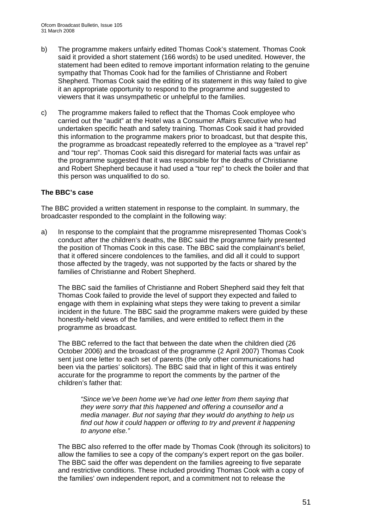- b) The programme makers unfairly edited Thomas Cook's statement. Thomas Cook said it provided a short statement (166 words) to be used unedited. However, the statement had been edited to remove important information relating to the genuine sympathy that Thomas Cook had for the families of Christianne and Robert Shepherd. Thomas Cook said the editing of its statement in this way failed to give it an appropriate opportunity to respond to the programme and suggested to viewers that it was unsympathetic or unhelpful to the families.
- c) The programme makers failed to reflect that the Thomas Cook employee who carried out the "audit" at the Hotel was a Consumer Affairs Executive who had undertaken specific heath and safety training. Thomas Cook said it had provided this information to the programme makers prior to broadcast, but that despite this, the programme as broadcast repeatedly referred to the employee as a "travel rep" and "tour rep". Thomas Cook said this disregard for material facts was unfair as the programme suggested that it was responsible for the deaths of Christianne and Robert Shepherd because it had used a "tour rep" to check the boiler and that this person was unqualified to do so.

#### **The BBC's case**

The BBC provided a written statement in response to the complaint. In summary, the broadcaster responded to the complaint in the following way:

a) In response to the complaint that the programme misrepresented Thomas Cook's conduct after the children's deaths, the BBC said the programme fairly presented the position of Thomas Cook in this case. The BBC said the complainant's belief, that it offered sincere condolences to the families, and did all it could to support those affected by the tragedy, was not supported by the facts or shared by the families of Christianne and Robert Shepherd.

 The BBC said the families of Christianne and Robert Shepherd said they felt that Thomas Cook failed to provide the level of support they expected and failed to engage with them in explaining what steps they were taking to prevent a similar incident in the future. The BBC said the programme makers were guided by these honestly-held views of the families, and were entitled to reflect them in the programme as broadcast.

 The BBC referred to the fact that between the date when the children died (26 October 2006) and the broadcast of the programme (2 April 2007) Thomas Cook sent just one letter to each set of parents (the only other communications had been via the parties' solicitors). The BBC said that in light of this it was entirely accurate for the programme to report the comments by the partner of the children's father that:

*"Since we've been home we've had one letter from them saying that they were sorry that this happened and offering a counsellor and a media manager. But not saying that they would do anything to help us find out how it could happen or offering to try and prevent it happening to anyone else."* 

 The BBC also referred to the offer made by Thomas Cook (through its solicitors) to allow the families to see a copy of the company's expert report on the gas boiler. The BBC said the offer was dependent on the families agreeing to five separate and restrictive conditions. These included providing Thomas Cook with a copy of the families' own independent report, and a commitment not to release the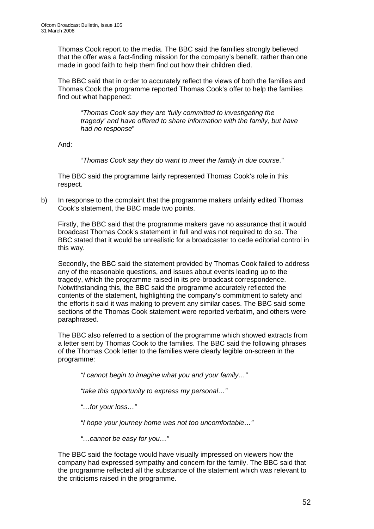Thomas Cook report to the media. The BBC said the families strongly believed that the offer was a fact-finding mission for the company's benefit, rather than one made in good faith to help them find out how their children died.

 The BBC said that in order to accurately reflect the views of both the families and Thomas Cook the programme reported Thomas Cook's offer to help the families find out what happened:

"*Thomas Cook say they are 'fully committed to investigating the tragedy' and have offered to share information with the family, but have had no response*"

And:

"*Thomas Cook say they do want to meet the family in due course.*"

 The BBC said the programme fairly represented Thomas Cook's role in this respect.

b) In response to the complaint that the programme makers unfairly edited Thomas Cook's statement, the BBC made two points.

 Firstly, the BBC said that the programme makers gave no assurance that it would broadcast Thomas Cook's statement in full and was not required to do so. The BBC stated that it would be unrealistic for a broadcaster to cede editorial control in this way.

 Secondly, the BBC said the statement provided by Thomas Cook failed to address any of the reasonable questions, and issues about events leading up to the tragedy, which the programme raised in its pre-broadcast correspondence. Notwithstanding this, the BBC said the programme accurately reflected the contents of the statement, highlighting the company's commitment to safety and the efforts it said it was making to prevent any similar cases. The BBC said some sections of the Thomas Cook statement were reported verbatim, and others were paraphrased.

 The BBC also referred to a section of the programme which showed extracts from a letter sent by Thomas Cook to the families. The BBC said the following phrases of the Thomas Cook letter to the families were clearly legible on-screen in the programme:

*"I cannot begin to imagine what you and your family…"* 

*"take this opportunity to express my personal…"* 

*"…for your loss…"* 

*"I hope your journey home was not too uncomfortable…"* 

*"…cannot be easy for you…"* 

 The BBC said the footage would have visually impressed on viewers how the company had expressed sympathy and concern for the family. The BBC said that the programme reflected all the substance of the statement which was relevant to the criticisms raised in the programme.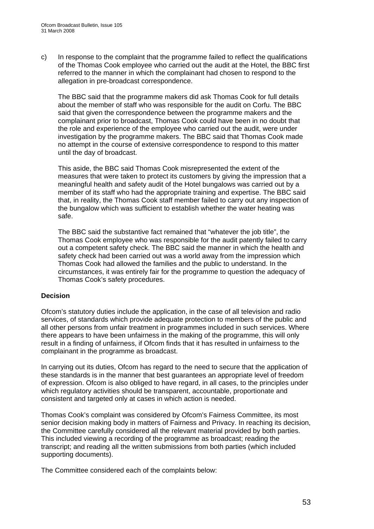c) In response to the complaint that the programme failed to reflect the qualifications of the Thomas Cook employee who carried out the audit at the Hotel, the BBC first referred to the manner in which the complainant had chosen to respond to the allegation in pre-broadcast correspondence.

 The BBC said that the programme makers did ask Thomas Cook for full details about the member of staff who was responsible for the audit on Corfu. The BBC said that given the correspondence between the programme makers and the complainant prior to broadcast, Thomas Cook could have been in no doubt that the role and experience of the employee who carried out the audit, were under investigation by the programme makers. The BBC said that Thomas Cook made no attempt in the course of extensive correspondence to respond to this matter until the day of broadcast.

 This aside, the BBC said Thomas Cook misrepresented the extent of the measures that were taken to protect its customers by giving the impression that a meaningful health and safety audit of the Hotel bungalows was carried out by a member of its staff who had the appropriate training and expertise. The BBC said that, in reality, the Thomas Cook staff member failed to carry out any inspection of the bungalow which was sufficient to establish whether the water heating was safe.

 The BBC said the substantive fact remained that "whatever the job title", the Thomas Cook employee who was responsible for the audit patently failed to carry out a competent safety check. The BBC said the manner in which the health and safety check had been carried out was a world away from the impression which Thomas Cook had allowed the families and the public to understand. In the circumstances, it was entirely fair for the programme to question the adequacy of Thomas Cook's safety procedures.

#### **Decision**

Ofcom's statutory duties include the application, in the case of all television and radio services, of standards which provide adequate protection to members of the public and all other persons from unfair treatment in programmes included in such services. Where there appears to have been unfairness in the making of the programme, this will only result in a finding of unfairness, if Ofcom finds that it has resulted in unfairness to the complainant in the programme as broadcast.

In carrying out its duties, Ofcom has regard to the need to secure that the application of these standards is in the manner that best guarantees an appropriate level of freedom of expression. Ofcom is also obliged to have regard, in all cases, to the principles under which regulatory activities should be transparent, accountable, proportionate and consistent and targeted only at cases in which action is needed.

Thomas Cook's complaint was considered by Ofcom's Fairness Committee, its most senior decision making body in matters of Fairness and Privacy. In reaching its decision, the Committee carefully considered all the relevant material provided by both parties. This included viewing a recording of the programme as broadcast; reading the transcript; and reading all the written submissions from both parties (which included supporting documents).

The Committee considered each of the complaints below: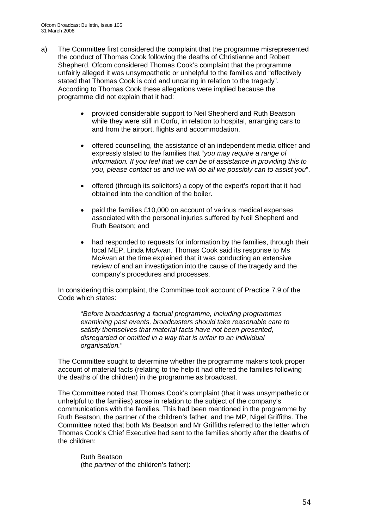- a) The Committee first considered the complaint that the programme misrepresented the conduct of Thomas Cook following the deaths of Christianne and Robert Shepherd. Ofcom considered Thomas Cook's complaint that the programme unfairly alleged it was unsympathetic or unhelpful to the families and "effectively stated that Thomas Cook is cold and uncaring in relation to the tragedy". According to Thomas Cook these allegations were implied because the programme did not explain that it had:
	- provided considerable support to Neil Shepherd and Ruth Beatson while they were still in Corfu, in relation to hospital, arranging cars to and from the airport, flights and accommodation.
	- offered counselling, the assistance of an independent media officer and expressly stated to the families that "*you may require a range of information. If you feel that we can be of assistance in providing this to you, please contact us and we will do all we possibly can to assist you*".
	- offered (through its solicitors) a copy of the expert's report that it had obtained into the condition of the boiler.
	- paid the families £10,000 on account of various medical expenses associated with the personal injuries suffered by Neil Shepherd and Ruth Beatson; and
	- had responded to requests for information by the families, through their local MEP, Linda McAvan. Thomas Cook said its response to Ms McAvan at the time explained that it was conducting an extensive review of and an investigation into the cause of the tragedy and the company's procedures and processes.

In considering this complaint, the Committee took account of Practice 7.9 of the Code which states:

"*Before broadcasting a factual programme, including programmes examining past events, broadcasters should take reasonable care to satisfy themselves that material facts have not been presented, disregarded or omitted in a way that is unfair to an individual organisation.*"

The Committee sought to determine whether the programme makers took proper account of material facts (relating to the help it had offered the families following the deaths of the children) in the programme as broadcast.

The Committee noted that Thomas Cook's complaint (that it was unsympathetic or unhelpful to the families) arose in relation to the subject of the company's communications with the families. This had been mentioned in the programme by Ruth Beatson, the partner of the children's father, and the MP, Nigel Griffiths. The Committee noted that both Ms Beatson and Mr Griffiths referred to the letter which Thomas Cook's Chief Executive had sent to the families shortly after the deaths of the children:

Ruth Beatson (the *partner* of the children's father):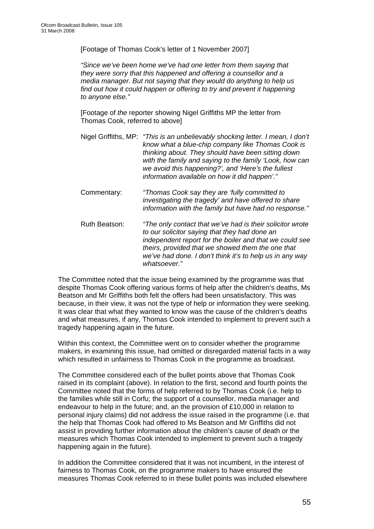[Footage of Thomas Cook's letter of 1 November 2007]

*"Since we've been home we've had one letter from them saying that they were sorry that this happened and offering a counsellor and a media manager. But not saying that they would do anything to help us find out how it could happen or offering to try and prevent it happening to anyone else."* 

[Footage of *the* reporter showing Nigel Griffiths MP the letter from Thomas Cook, referred to above]

- Nigel Griffiths, MP: *"This is an unbelievably shocking letter. I mean, I don't know what a blue-chip company like Thomas Cook is thinking about. They should have been sitting down with the family and saying to the family 'Look, how can we avoid this happening?', and 'Here's the fullest information available on how it did happen'."*
- Commentary: *"Thomas Cook say they are 'fully committed to investigating the tragedy' and have offered to share information with the family but have had no response."*
- Ruth Beatson: *"The only contact that we've had is their solicitor wrote to our solicitor saying that they had done an independent report for the boiler and that we could see theirs, provided that we showed them the one that we've had done. I don't think it's to help us in any way whatsoever."*

The Committee noted that the issue being examined by the programme was that despite Thomas Cook offering various forms of help after the children's deaths, Ms Beatson and Mr Griffiths both felt the offers had been unsatisfactory. This was because, in their view, it was not the type of help or information they were seeking. It was clear that what they wanted to know was the cause of the children's deaths and what measures, if any, Thomas Cook intended to implement to prevent such a tragedy happening again in the future.

Within this context, the Committee went on to consider whether the programme makers, in examining this issue, had omitted or disregarded material facts in a way which resulted in unfairness to Thomas Cook in the programme as broadcast.

The Committee considered each of the bullet points above that Thomas Cook raised in its complaint (above). In relation to the first, second and fourth points the Committee noted that the forms of help referred to by Thomas Cook (i.e. help to the families while still in Corfu; the support of a counsellor, media manager and endeavour to help in the future; and, an the provision of £10,000 in relation to personal injury claims) did not address the issue raised in the programme (i.e. that the help that Thomas Cook had offered to Ms Beatson and Mr Griffiths did not assist in providing further information about the children's cause of death or the measures which Thomas Cook intended to implement to prevent such a tragedy happening again in the future).

In addition the Committee considered that it was not incumbent, in the interest of fairness to Thomas Cook, on the programme makers to have ensured the measures Thomas Cook referred to in these bullet points was included elsewhere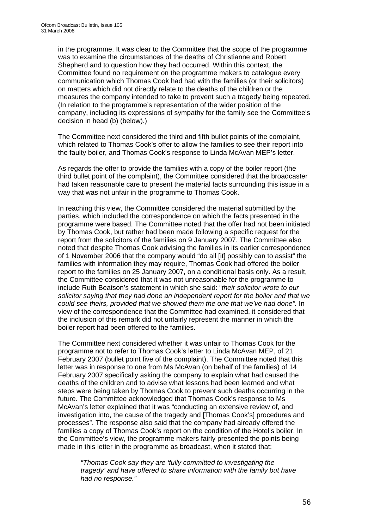in the programme. It was clear to the Committee that the scope of the programme was to examine the circumstances of the deaths of Christianne and Robert Shepherd and to question how they had occurred. Within this context, the Committee found no requirement on the programme makers to catalogue every communication which Thomas Cook had had with the families (or their solicitors) on matters which did not directly relate to the deaths of the children or the measures the company intended to take to prevent such a tragedy being repeated. (In relation to the programme's representation of the wider position of the company, including its expressions of sympathy for the family see the Committee's decision in head (b) (below).)

The Committee next considered the third and fifth bullet points of the complaint, which related to Thomas Cook's offer to allow the families to see their report into the faulty boiler, and Thomas Cook's response to Linda McAvan MEP's letter.

As regards the offer to provide the families with a copy of the boiler report (the third bullet point of the complaint), the Committee considered that the broadcaster had taken reasonable care to present the material facts surrounding this issue in a way that was not unfair in the programme to Thomas Cook.

In reaching this view, the Committee considered the material submitted by the parties, which included the correspondence on which the facts presented in the programme were based. The Committee noted that the offer had not been initiated by Thomas Cook, but rather had been made following a specific request for the report from the solicitors of the families on 9 January 2007. The Committee also noted that despite Thomas Cook advising the families in its earlier correspondence of 1 November 2006 that the company would "do all [it] possibly can to assist" the families with information they may require, Thomas Cook had offered the boiler report to the families on 25 January 2007, on a conditional basis only. As a result, the Committee considered that it was not unreasonable for the programme to include Ruth Beatson's statement in which she said: "*their solicitor wrote to our solicitor saying that they had done an independent report for the boiler and that we could see theirs, provided that we showed them the one that we've had done".* In view of the correspondence that the Committee had examined, it considered that the inclusion of this remark did not unfairly represent the manner in which the boiler report had been offered to the families.

The Committee next considered whether it was unfair to Thomas Cook for the programme not to refer to Thomas Cook's letter to Linda McAvan MEP, of 21 February 2007 (bullet point five of the complaint). The Committee noted that this letter was in response to one from Ms McAvan (on behalf of the families) of 14 February 2007 specifically asking the company to explain what had caused the deaths of the children and to advise what lessons had been learned and what steps were being taken by Thomas Cook to prevent such deaths occurring in the future. The Committee acknowledged that Thomas Cook's response to Ms McAvan's letter explained that it was "conducting an extensive review of, and investigation into, the cause of the tragedy and [Thomas Cook's] procedures and processes". The response also said that the company had already offered the families a copy of Thomas Cook's report on the condition of the Hotel's boiler. In the Committee's view, the programme makers fairly presented the points being made in this letter in the programme as broadcast, when it stated that:

*"Thomas Cook say they are 'fully committed to investigating the tragedy' and have offered to share information with the family but have had no response."*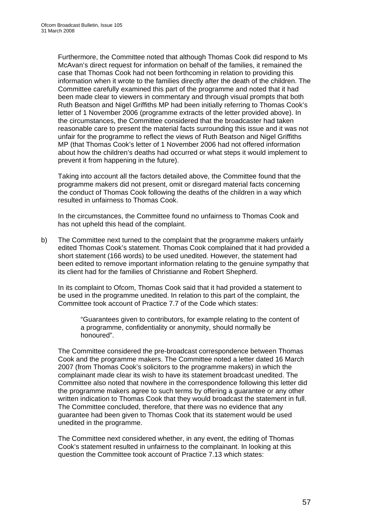Furthermore, the Committee noted that although Thomas Cook did respond to Ms McAvan's direct request for information on behalf of the families, it remained the case that Thomas Cook had not been forthcoming in relation to providing this information when it wrote to the families directly after the death of the children. The Committee carefully examined this part of the programme and noted that it had been made clear to viewers in commentary and through visual prompts that both Ruth Beatson and Nigel Griffiths MP had been initially referring to Thomas Cook's letter of 1 November 2006 (programme extracts of the letter provided above). In the circumstances, the Committee considered that the broadcaster had taken reasonable care to present the material facts surrounding this issue and it was not unfair for the programme to reflect the views of Ruth Beatson and Nigel Griffiths MP (that Thomas Cook's letter of 1 November 2006 had not offered information about how the children's deaths had occurred or what steps it would implement to prevent it from happening in the future).

Taking into account all the factors detailed above, the Committee found that the programme makers did not present, omit or disregard material facts concerning the conduct of Thomas Cook following the deaths of the children in a way which resulted in unfairness to Thomas Cook.

In the circumstances, the Committee found no unfairness to Thomas Cook and has not upheld this head of the complaint.

b) The Committee next turned to the complaint that the programme makers unfairly edited Thomas Cook's statement. Thomas Cook complained that it had provided a short statement (166 words) to be used unedited. However, the statement had been edited to remove important information relating to the genuine sympathy that its client had for the families of Christianne and Robert Shepherd.

In its complaint to Ofcom, Thomas Cook said that it had provided a statement to be used in the programme unedited. In relation to this part of the complaint, the Committee took account of Practice 7.7 of the Code which states:

"Guarantees given to contributors, for example relating to the content of a programme, confidentiality or anonymity, should normally be honoured".

The Committee considered the pre-broadcast correspondence between Thomas Cook and the programme makers. The Committee noted a letter dated 16 March 2007 (from Thomas Cook's solicitors to the programme makers) in which the complainant made clear its wish to have its statement broadcast unedited. The Committee also noted that nowhere in the correspondence following this letter did the programme makers agree to such terms by offering a guarantee or any other written indication to Thomas Cook that they would broadcast the statement in full. The Committee concluded, therefore, that there was no evidence that any guarantee had been given to Thomas Cook that its statement would be used unedited in the programme.

The Committee next considered whether, in any event, the editing of Thomas Cook's statement resulted in unfairness to the complainant. In looking at this question the Committee took account of Practice 7.13 which states: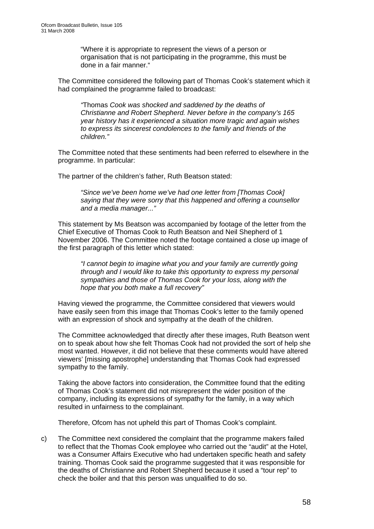"Where it is appropriate to represent the views of a person or organisation that is not participating in the programme, this must be done in a fair manner."

The Committee considered the following part of Thomas Cook's statement which it had complained the programme failed to broadcast:

*"*Thomas *Cook was shocked and saddened by the deaths of Christianne and Robert Shepherd. Never before in the company's 165 year history has it experienced a situation more tragic and again wishes to express its sincerest condolences to the family and friends of the children."* 

The Committee noted that these sentiments had been referred to elsewhere in the programme. In particular:

The partner of the children's father, Ruth Beatson stated:

*"Since we've been home we've had one letter from [Thomas Cook] saying that they were sorry that this happened and offering a counsellor and a media manager..."* 

This statement by Ms Beatson was accompanied by footage of the letter from the Chief Executive of Thomas Cook to Ruth Beatson and Neil Shepherd of 1 November 2006. The Committee noted the footage contained a close up image of the first paragraph of this letter which stated:

*"I cannot begin to imagine what you and your family are currently going through and I would like to take this opportunity to express my personal sympathies and those of Thomas Cook for your loss, along with the hope that you both make a full recovery"* 

Having viewed the programme, the Committee considered that viewers would have easily seen from this image that Thomas Cook's letter to the family opened with an expression of shock and sympathy at the death of the children.

The Committee acknowledged that directly after these images, Ruth Beatson went on to speak about how she felt Thomas Cook had not provided the sort of help she most wanted. However, it did not believe that these comments would have altered viewers' [missing apostrophe] understanding that Thomas Cook had expressed sympathy to the family.

Taking the above factors into consideration, the Committee found that the editing of Thomas Cook's statement did not misrepresent the wider position of the company, including its expressions of sympathy for the family, in a way which resulted in unfairness to the complainant.

Therefore, Ofcom has not upheld this part of Thomas Cook's complaint.

c) The Committee next considered the complaint that the programme makers failed to reflect that the Thomas Cook employee who carried out the "audit" at the Hotel, was a Consumer Affairs Executive who had undertaken specific heath and safety training. Thomas Cook said the programme suggested that it was responsible for the deaths of Christianne and Robert Shepherd because it used a "tour rep" to check the boiler and that this person was unqualified to do so.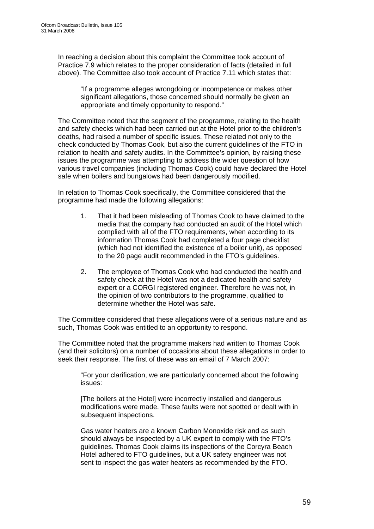In reaching a decision about this complaint the Committee took account of Practice 7.9 which relates to the proper consideration of facts (detailed in full above). The Committee also took account of Practice 7.11 which states that:

"If a programme alleges wrongdoing or incompetence or makes other significant allegations, those concerned should normally be given an appropriate and timely opportunity to respond."

The Committee noted that the segment of the programme, relating to the health and safety checks which had been carried out at the Hotel prior to the children's deaths, had raised a number of specific issues. These related not only to the check conducted by Thomas Cook, but also the current guidelines of the FTO in relation to health and safety audits. In the Committee's opinion, by raising these issues the programme was attempting to address the wider question of how various travel companies (including Thomas Cook) could have declared the Hotel safe when boilers and bungalows had been dangerously modified.

In relation to Thomas Cook specifically, the Committee considered that the programme had made the following allegations:

- 1. That it had been misleading of Thomas Cook to have claimed to the media that the company had conducted an audit of the Hotel which complied with all of the FTO requirements, when according to its information Thomas Cook had completed a four page checklist (which had not identified the existence of a boiler unit), as opposed to the 20 page audit recommended in the FTO's guidelines.
- 2. The employee of Thomas Cook who had conducted the health and safety check at the Hotel was not a dedicated health and safety expert or a CORGI registered engineer. Therefore he was not, in the opinion of two contributors to the programme, qualified to determine whether the Hotel was safe.

The Committee considered that these allegations were of a serious nature and as such, Thomas Cook was entitled to an opportunity to respond.

The Committee noted that the programme makers had written to Thomas Cook (and their solicitors) on a number of occasions about these allegations in order to seek their response. The first of these was an email of 7 March 2007:

"For your clarification, we are particularly concerned about the following issues:

[The boilers at the Hotel] were incorrectly installed and dangerous modifications were made. These faults were not spotted or dealt with in subsequent inspections.

Gas water heaters are a known Carbon Monoxide risk and as such should always be inspected by a UK expert to comply with the FTO's guidelines. Thomas Cook claims its inspections of the Corcyra Beach Hotel adhered to FTO guidelines, but a UK safety engineer was not sent to inspect the gas water heaters as recommended by the FTO.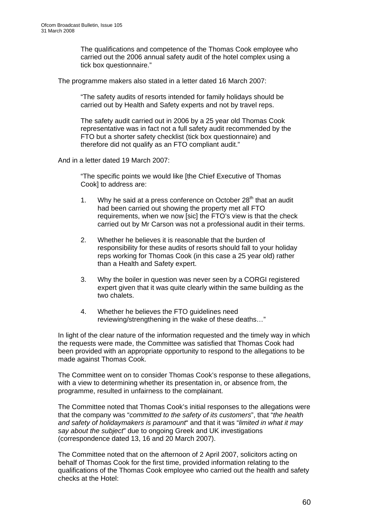The qualifications and competence of the Thomas Cook employee who carried out the 2006 annual safety audit of the hotel complex using a tick box questionnaire."

The programme makers also stated in a letter dated 16 March 2007:

"The safety audits of resorts intended for family holidays should be carried out by Health and Safety experts and not by travel reps.

The safety audit carried out in 2006 by a 25 year old Thomas Cook representative was in fact not a full safety audit recommended by the FTO but a shorter safety checklist (tick box questionnaire) and therefore did not qualify as an FTO compliant audit."

And in a letter dated 19 March 2007:

"The specific points we would like [the Chief Executive of Thomas Cook] to address are:

- 1. Why he said at a press conference on October  $28<sup>th</sup>$  that an audit had been carried out showing the property met all FTO requirements, when we now [sic] the FTO's view is that the check carried out by Mr Carson was not a professional audit in their terms.
- 2. Whether he believes it is reasonable that the burden of responsibility for these audits of resorts should fall to your holiday reps working for Thomas Cook (in this case a 25 year old) rather than a Health and Safety expert.
- 3. Why the boiler in question was never seen by a CORGI registered expert given that it was quite clearly within the same building as the two chalets.
- 4. Whether he believes the FTO guidelines need reviewing/strengthening in the wake of these deaths…"

In light of the clear nature of the information requested and the timely way in which the requests were made, the Committee was satisfied that Thomas Cook had been provided with an appropriate opportunity to respond to the allegations to be made against Thomas Cook.

The Committee went on to consider Thomas Cook's response to these allegations, with a view to determining whether its presentation in, or absence from, the programme, resulted in unfairness to the complainant.

The Committee noted that Thomas Cook's initial responses to the allegations were that the company was "*committed to the safety of its customers*", that "*the health and safety of holidaymakers is paramount*" and that it was "*limited in what it may say about the subject*" due to ongoing Greek and UK investigations (correspondence dated 13, 16 and 20 March 2007).

The Committee noted that on the afternoon of 2 April 2007, solicitors acting on behalf of Thomas Cook for the first time, provided information relating to the qualifications of the Thomas Cook employee who carried out the health and safety checks at the Hotel: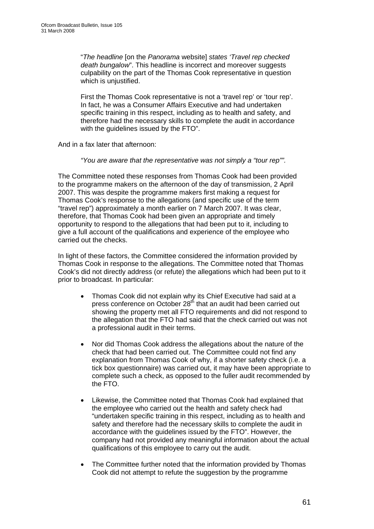"*The headline* [on the *Panorama* website] *states 'Travel rep checked death bungalow*". This headline is incorrect and moreover suggests culpability on the part of the Thomas Cook representative in question which is uniustified.

First the Thomas Cook representative is not a 'travel rep' or 'tour rep'. In fact, he was a Consumer Affairs Executive and had undertaken specific training in this respect, including as to health and safety, and therefore had the necessary skills to complete the audit in accordance with the quidelines issued by the FTO".

And in a fax later that afternoon:

*"You are aware that the representative was not simply a "tour rep"".* 

The Committee noted these responses from Thomas Cook had been provided to the programme makers on the afternoon of the day of transmission, 2 April 2007. This was despite the programme makers first making a request for Thomas Cook's response to the allegations (and specific use of the term "travel rep") approximately a month earlier on 7 March 2007. It was clear, therefore, that Thomas Cook had been given an appropriate and timely opportunity to respond to the allegations that had been put to it, including to give a full account of the qualifications and experience of the employee who carried out the checks.

In light of these factors, the Committee considered the information provided by Thomas Cook in response to the allegations. The Committee noted that Thomas Cook's did not directly address (or refute) the allegations which had been put to it prior to broadcast. In particular:

- Thomas Cook did not explain why its Chief Executive had said at a press conference on October 28<sup>th</sup> that an audit had been carried out showing the property met all FTO requirements and did not respond to the allegation that the FTO had said that the check carried out was not a professional audit in their terms.
- Nor did Thomas Cook address the allegations about the nature of the check that had been carried out. The Committee could not find any explanation from Thomas Cook of why, if a shorter safety check (i.e. a tick box questionnaire) was carried out, it may have been appropriate to complete such a check, as opposed to the fuller audit recommended by the FTO.
- Likewise, the Committee noted that Thomas Cook had explained that the employee who carried out the health and safety check had "undertaken specific training in this respect, including as to health and safety and therefore had the necessary skills to complete the audit in accordance with the guidelines issued by the FTO". However, the company had not provided any meaningful information about the actual qualifications of this employee to carry out the audit.
- The Committee further noted that the information provided by Thomas Cook did not attempt to refute the suggestion by the programme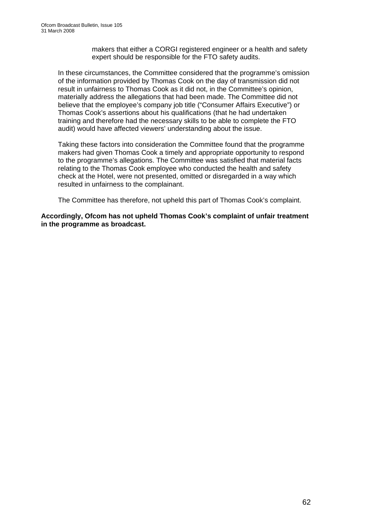makers that either a CORGI registered engineer or a health and safety expert should be responsible for the FTO safety audits.

In these circumstances, the Committee considered that the programme's omission of the information provided by Thomas Cook on the day of transmission did not result in unfairness to Thomas Cook as it did not, in the Committee's opinion, materially address the allegations that had been made. The Committee did not believe that the employee's company job title ("Consumer Affairs Executive") or Thomas Cook's assertions about his qualifications (that he had undertaken training and therefore had the necessary skills to be able to complete the FTO audit) would have affected viewers' understanding about the issue.

Taking these factors into consideration the Committee found that the programme makers had given Thomas Cook a timely and appropriate opportunity to respond to the programme's allegations. The Committee was satisfied that material facts relating to the Thomas Cook employee who conducted the health and safety check at the Hotel, were not presented, omitted or disregarded in a way which resulted in unfairness to the complainant.

The Committee has therefore, not upheld this part of Thomas Cook's complaint.

**Accordingly, Ofcom has not upheld Thomas Cook's complaint of unfair treatment in the programme as broadcast.**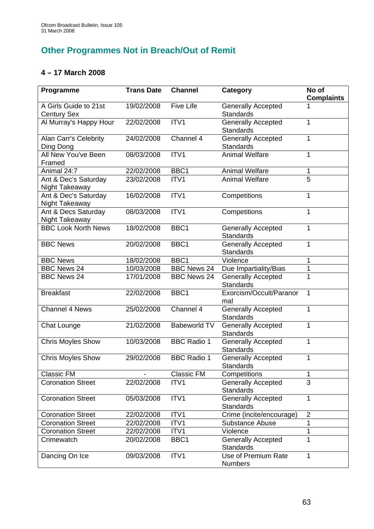### **Other Programmes Not in Breach/Out of Remit**

### **4 – 17 March 2008**

| Programme                     | <b>Trans Date</b> | <b>Channel</b>      | <b>Category</b>           | No of             |
|-------------------------------|-------------------|---------------------|---------------------------|-------------------|
|                               |                   |                     |                           | <b>Complaints</b> |
| A Girls Guide to 21st         | 19/02/2008        | <b>Five Life</b>    | <b>Generally Accepted</b> |                   |
| <b>Century Sex</b>            |                   |                     | <b>Standards</b>          |                   |
| Al Murray's Happy Hour        | 22/02/2008        | ITV1                | <b>Generally Accepted</b> | 1                 |
|                               |                   |                     | <b>Standards</b>          |                   |
| Alan Carr's Celebrity         | 24/02/2008        | Channel 4           | <b>Generally Accepted</b> | 1                 |
| Ding Dong                     |                   |                     | <b>Standards</b>          |                   |
| All New You've Been<br>Framed | 08/03/2008        | ITV1                | <b>Animal Welfare</b>     | 1                 |
| Animal 24:7                   | 22/02/2008        | BBC <sub>1</sub>    | <b>Animal Welfare</b>     | 1                 |
| Ant & Dec's Saturday          | 23/02/2008        | ITV1                | <b>Animal Welfare</b>     | $\overline{5}$    |
| Night Takeaway                |                   |                     |                           |                   |
| Ant & Dec's Saturday          | 16/02/2008        | ITV1                | Competitions              | 1                 |
| Night Takeaway                |                   |                     |                           |                   |
| Ant & Decs Saturday           | 08/03/2008        | ITV1                | Competitions              | 1                 |
| Night Takeaway                |                   |                     |                           |                   |
| <b>BBC Look North News</b>    | 18/02/2008        | BBC1                | <b>Generally Accepted</b> | 1                 |
|                               |                   |                     | <b>Standards</b>          |                   |
| <b>BBC News</b>               | 20/02/2008        | BBC1                | <b>Generally Accepted</b> | 1                 |
|                               |                   |                     | <b>Standards</b>          |                   |
| <b>BBC News</b>               | 18/02/2008        | BBC1                | Violence                  | 1                 |
| <b>BBC News 24</b>            | 10/03/2008        | <b>BBC News 24</b>  | Due Impartiality/Bias     | 1                 |
| <b>BBC News 24</b>            | 17/01/2008        | <b>BBC News 24</b>  | <b>Generally Accepted</b> | 1                 |
|                               |                   |                     | <b>Standards</b>          |                   |
| <b>Breakfast</b>              | 22/02/2008        | BBC1                | Exorcism/Occult/Paranor   | 1                 |
|                               |                   |                     | mal                       |                   |
| <b>Channel 4 News</b>         | 25/02/2008        | Channel 4           | <b>Generally Accepted</b> | 1                 |
|                               |                   |                     | <b>Standards</b>          |                   |
| Chat Lounge                   | 21/02/2008        | <b>Babeworld TV</b> | <b>Generally Accepted</b> | 1                 |
|                               |                   |                     | Standards                 |                   |
| <b>Chris Moyles Show</b>      | 10/03/2008        | <b>BBC Radio 1</b>  | <b>Generally Accepted</b> | 1                 |
|                               |                   |                     | <b>Standards</b>          |                   |
| <b>Chris Moyles Show</b>      | 29/02/2008        | <b>BBC Radio 1</b>  | <b>Generally Accepted</b> | 1                 |
|                               |                   |                     | Standards                 |                   |
| <b>Classic FM</b>             |                   | <b>Classic FM</b>   | Competitions              | 1                 |
| <b>Coronation Street</b>      | 22/02/2008        | ITV1                | <b>Generally Accepted</b> | 3                 |
|                               |                   |                     | <b>Standards</b>          |                   |
| <b>Coronation Street</b>      | 05/03/2008        | ITV1                | <b>Generally Accepted</b> | 1                 |
|                               |                   |                     | <b>Standards</b>          |                   |
| <b>Coronation Street</b>      | 22/02/2008        | ITV1                | Crime (incite/encourage)  | $\overline{2}$    |
| <b>Coronation Street</b>      | 22/02/2008        | ITV1                | <b>Substance Abuse</b>    | 1                 |
| <b>Coronation Street</b>      | 22/02/2008        | ITV1                | Violence                  | 1                 |
| Crimewatch                    | 20/02/2008        | BBC1                | <b>Generally Accepted</b> | 1                 |
|                               |                   |                     | <b>Standards</b>          |                   |
| Dancing On Ice                | 09/03/2008        | ITV1                | Use of Premium Rate       | 1                 |
|                               |                   |                     | <b>Numbers</b>            |                   |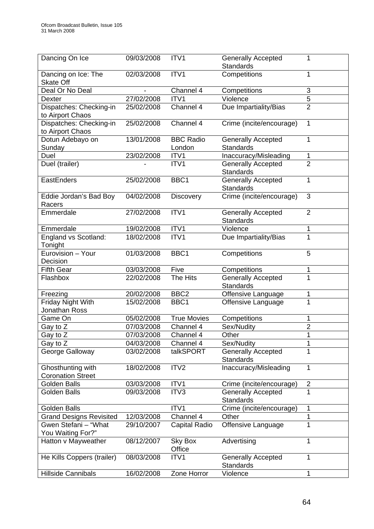| Dancing On Ice                                | 09/03/2008 | ITV <sub>1</sub>           | <b>Generally Accepted</b><br><b>Standards</b> | 1              |
|-----------------------------------------------|------------|----------------------------|-----------------------------------------------|----------------|
| Dancing on Ice: The<br><b>Skate Off</b>       | 02/03/2008 | ITV1                       | Competitions                                  | 1              |
| Deal Or No Deal                               |            | Channel 4                  | Competitions                                  | 3              |
| <b>Dexter</b>                                 | 27/02/2008 | ITV1                       | Violence                                      | $\overline{5}$ |
| Dispatches: Checking-in<br>to Airport Chaos   | 25/02/2008 | Channel 4                  | Due Impartiality/Bias                         | $\overline{2}$ |
| Dispatches: Checking-in<br>to Airport Chaos   | 25/02/2008 | Channel 4                  | Crime (incite/encourage)                      | $\mathbf{1}$   |
| Dotun Adebayo on<br>Sunday                    | 13/01/2008 | <b>BBC Radio</b><br>London | <b>Generally Accepted</b><br><b>Standards</b> | 1              |
| Duel                                          | 23/02/2008 | ITV1                       | Inaccuracy/Misleading                         | 1              |
| Duel (trailer)                                |            | ITV1                       | <b>Generally Accepted</b><br><b>Standards</b> | $\overline{2}$ |
| EastEnders                                    | 25/02/2008 | BBC1                       | <b>Generally Accepted</b><br><b>Standards</b> | 1              |
| Eddie Jordan's Bad Boy<br>Racers              | 04/02/2008 | <b>Discovery</b>           | Crime (incite/encourage)                      | 3              |
| Emmerdale                                     | 27/02/2008 | ITV1                       | <b>Generally Accepted</b><br><b>Standards</b> | $\overline{2}$ |
| Emmerdale                                     | 19/02/2008 | ITV1                       | Violence                                      | 1              |
| England vs Scotland:<br>Tonight               | 18/02/2008 | ITV1                       | Due Impartiality/Bias                         | 1              |
| Eurovision - Your<br>Decision                 | 01/03/2008 | BBC1                       | Competitions                                  | 5              |
| <b>Fifth Gear</b>                             | 03/03/2008 | Five                       | Competitions                                  | 1              |
| Flashbox                                      | 22/02/2008 | The Hits                   | <b>Generally Accepted</b><br><b>Standards</b> | 1              |
| Freezing                                      | 20/02/2008 | BBC <sub>2</sub>           | Offensive Language                            | 1              |
| <b>Friday Night With</b><br>Jonathan Ross     | 15/02/2008 | BBC1                       | Offensive Language                            | 1              |
| Game On                                       | 05/02/2008 | <b>True Movies</b>         | Competitions                                  | 1              |
| Gay to Z                                      | 07/03/2008 | Channel 4                  | Sex/Nudity                                    | $\overline{2}$ |
| Gay to Z                                      | 07/03/2008 | Channel 4                  | Other                                         | 1              |
| Gay to Z                                      | 04/03/2008 | Channel 4                  | Sex/Nudity                                    | 1              |
| George Galloway                               | 03/02/2008 | talkSPORT                  | <b>Generally Accepted</b><br><b>Standards</b> | 1              |
| Ghosthunting with<br><b>Coronation Street</b> | 18/02/2008 | ITV2                       | Inaccuracy/Misleading                         | 1              |
| Golden Balls                                  | 03/03/2008 | ITV1                       | Crime (incite/encourage)                      | $\overline{2}$ |
| Golden Balls                                  | 09/03/2008 | ITV3                       | <b>Generally Accepted</b><br><b>Standards</b> | 1              |
| <b>Golden Balls</b>                           |            | ITV1                       | Crime (incite/encourage)                      | 1              |
| <b>Grand Designs Revisited</b>                | 12/03/2008 | Channel 4                  | Other                                         | 1              |
| Gwen Stefani - "What<br>You Waiting For?"     | 29/10/2007 | Capital Radio              | Offensive Language                            | 1              |
| Hatton v Mayweather                           | 08/12/2007 | Sky Box<br>Office          | Advertising                                   | 1              |
| He Kills Coppers (trailer)                    | 08/03/2008 | ITV1                       | <b>Generally Accepted</b><br><b>Standards</b> | 1              |
| Hillside Cannibals                            | 16/02/2008 | Zone Horror                | Violence                                      | 1              |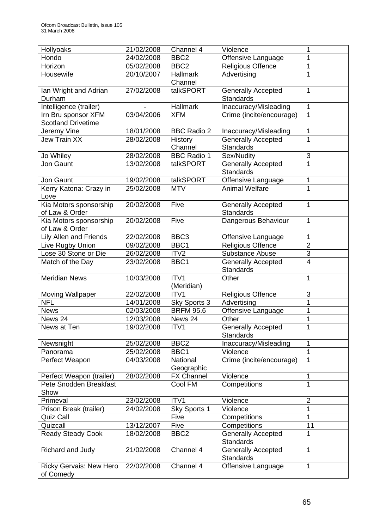| Hollyoaks                                   | 21/02/2008 | Channel 4          | Violence                                      | 1                                |
|---------------------------------------------|------------|--------------------|-----------------------------------------------|----------------------------------|
| Hondo                                       | 24/02/2008 | BBC <sub>2</sub>   | Offensive Language                            | 1                                |
| Horizon                                     | 05/02/2008 | BBC <sub>2</sub>   | <b>Religious Offence</b>                      | 1                                |
| Housewife                                   | 20/10/2007 | Hallmark           | Advertising                                   | 1                                |
|                                             |            | Channel            |                                               |                                  |
| Ian Wright and Adrian                       | 27/02/2008 | talkSPORT          | <b>Generally Accepted</b>                     | 1                                |
| Durham                                      |            |                    | Standards                                     |                                  |
| Intelligence (trailer)                      |            | <b>Hallmark</b>    | Inaccuracy/Misleading                         | $\mathbf{1}$                     |
| Irn Bru sponsor XFM                         | 03/04/2006 | <b>XFM</b>         | Crime (incite/encourage)                      | 1                                |
| <b>Scotland Drivetime</b>                   |            |                    |                                               |                                  |
| Jeremy Vine                                 | 18/01/2008 | <b>BBC Radio 2</b> | Inaccuracy/Misleading                         | 1                                |
| <b>Jew Train XX</b>                         | 28/02/2008 | <b>History</b>     | Generally Accepted                            | 1                                |
|                                             |            | Channel            | <b>Standards</b>                              |                                  |
| Jo Whiley                                   | 28/02/2008 | <b>BBC Radio 1</b> | Sex/Nudity                                    | 3                                |
| Jon Gaunt                                   | 13/02/2008 | talkSPORT          | <b>Generally Accepted</b>                     | 1                                |
|                                             |            |                    | <b>Standards</b>                              |                                  |
| Jon Gaunt                                   | 19/02/2008 | talkSPORT          | Offensive Language                            | 1                                |
| Kerry Katona: Crazy in                      | 25/02/2008 | <b>MTV</b>         | <b>Animal Welfare</b>                         | 1                                |
| Love                                        |            |                    |                                               |                                  |
| Kia Motors sponsorship                      | 20/02/2008 | Five               | <b>Generally Accepted</b>                     | 1                                |
| of Law & Order                              |            |                    | Standards                                     |                                  |
| Kia Motors sponsorship                      | 20/02/2008 | Five               | Dangerous Behaviour                           | 1                                |
| of Law & Order                              |            |                    |                                               |                                  |
| <b>Lily Allen and Friends</b>               | 22/02/2008 | BBC <sub>3</sub>   | Offensive Language                            | 1                                |
| Live Rugby Union                            | 09/02/2008 | BBC1               | <b>Religious Offence</b>                      | $\overline{2}$<br>$\overline{3}$ |
| Lose 30 Stone or Die                        | 26/02/2008 | ITV <sub>2</sub>   | Substance Abuse                               | 4                                |
| Match of the Day                            | 23/02/2008 | BBC1               | Generally Accepted<br>Standards               |                                  |
| <b>Meridian News</b>                        | 10/03/2008 | ITV1               | Other                                         | 1                                |
|                                             |            | (Meridian)         |                                               |                                  |
| <b>Moving Wallpaper</b>                     | 22/02/2008 | ITV <sub>1</sub>   | <b>Religious Offence</b>                      | 3                                |
| <b>NFL</b>                                  | 14/01/2008 | Sky Sports 3       | Advertising                                   | $\overline{1}$                   |
| <b>News</b>                                 | 02/03/2008 | <b>BRFM 95.6</b>   | Offensive Language                            | 1                                |
| News 24                                     | 12/03/2008 | News 24            | Other                                         | 1                                |
| News at Ten                                 | 19/02/2008 | ITV1               | <b>Generally Accepted</b>                     | $\mathbf{1}$                     |
|                                             |            |                    | <b>Standards</b>                              |                                  |
| Newsnight                                   | 25/02/2008 | BBC <sub>2</sub>   | Inaccuracy/Misleading                         | 1                                |
| Panorama                                    | 25/02/2008 | BBC1               | Violence                                      | 1                                |
| Perfect Weapon                              | 04/03/2008 | National           | Crime (incite/encourage)                      | 1                                |
|                                             |            | Geographic         |                                               |                                  |
| Perfect Weapon (trailer)                    | 28/02/2008 | <b>FX Channel</b>  | Violence                                      | 1                                |
| Pete Snodden Breakfast                      |            | Cool FM            | Competitions                                  | 1                                |
| Show                                        |            |                    |                                               |                                  |
| Primeval                                    | 23/02/2008 | ITV <sub>1</sub>   | Violence                                      | $\overline{2}$                   |
| Prison Break (trailer)                      | 24/02/2008 | Sky Sports 1       | Violence                                      | 1                                |
| Quiz Call                                   |            | Five               | Competitions                                  | 1                                |
| Quizcall                                    | 13/12/2007 | Five               | Competitions                                  | 11                               |
| <b>Ready Steady Cook</b>                    | 18/02/2008 | BBC <sub>2</sub>   | <b>Generally Accepted</b><br><b>Standards</b> | 1                                |
| Richard and Judy                            | 21/02/2008 | Channel 4          | <b>Generally Accepted</b>                     | 1                                |
|                                             |            |                    | <b>Standards</b>                              |                                  |
| <b>Ricky Gervais: New Hero</b><br>of Comedy | 22/02/2008 | Channel 4          | Offensive Language                            | 1                                |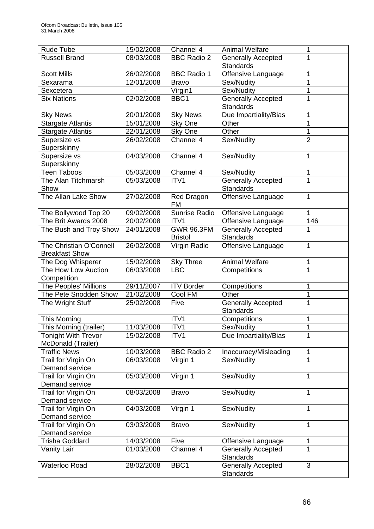| Rude Tube                  | 15/02/2008 | Channel 4          | <b>Animal Welfare</b>     | 1              |
|----------------------------|------------|--------------------|---------------------------|----------------|
| <b>Russell Brand</b>       | 08/03/2008 | <b>BBC Radio 2</b> | <b>Generally Accepted</b> | 1              |
|                            |            |                    | <b>Standards</b>          |                |
| <b>Scott Mills</b>         | 26/02/2008 | <b>BBC Radio 1</b> | Offensive Language        | 1              |
| Sexarama                   | 12/01/2008 | <b>Bravo</b>       | Sex/Nudity                | 1              |
| Sexcetera                  |            | Virgin1            | Sex/Nudity                | 1              |
| <b>Six Nations</b>         | 02/02/2008 | BBC1               | <b>Generally Accepted</b> | 1              |
|                            |            |                    | <b>Standards</b>          |                |
| <b>Sky News</b>            | 20/01/2008 | <b>Sky News</b>    | Due Impartiality/Bias     | 1              |
| <b>Stargate Atlantis</b>   | 15/01/2008 | Sky One            | Other                     | 1              |
| <b>Stargate Atlantis</b>   | 22/01/2008 | Sky One            | Other                     | 1              |
| Supersize vs               | 26/02/2008 | Channel 4          | Sex/Nudity                | $\overline{2}$ |
| Superskinny                |            |                    |                           |                |
| Supersize vs               | 04/03/2008 | Channel 4          | Sex/Nudity                | 1              |
| Superskinny                |            |                    |                           |                |
| <b>Teen Taboos</b>         | 05/03/2008 | Channel 4          | Sex/Nudity                | 1              |
| The Alan Titchmarsh        | 05/03/2008 | ITV1               | <b>Generally Accepted</b> | 1              |
| Show                       |            |                    | <b>Standards</b>          |                |
| The Allan Lake Show        | 27/02/2008 | Red Dragon         | Offensive Language        | 1              |
|                            |            | <b>FM</b>          |                           |                |
| The Bollywood Top 20       | 09/02/2008 | Sunrise Radio      | Offensive Language        | 1              |
| The Brit Awards 2008       | 20/02/2008 | ITV1               | Offensive Language        | 146            |
| The Bush and Troy Show     | 24/01/2008 | <b>GWR 96.3FM</b>  | <b>Generally Accepted</b> | 1              |
|                            |            | <b>Bristol</b>     | <b>Standards</b>          |                |
| The Christian O'Connell    | 26/02/2008 | Virgin Radio       | Offensive Language        | 1              |
| <b>Breakfast Show</b>      |            |                    |                           |                |
| The Dog Whisperer          | 15/02/2008 | <b>Sky Three</b>   | <b>Animal Welfare</b>     | 1              |
| The How Low Auction        | 06/03/2008 | <b>LBC</b>         | Competitions              | 1              |
| Competition                |            |                    |                           |                |
| The Peoples' Millions      | 29/11/2007 | <b>ITV Border</b>  | Competitions              | 1              |
| The Pete Snodden Show      | 21/02/2008 | Cool FM            | Other                     | 1              |
| The Wright Stuff           | 25/02/2008 | Five               | <b>Generally Accepted</b> | $\overline{1}$ |
|                            |            |                    | <b>Standards</b>          |                |
| This Morning               |            | ITV1               | Competitions              | 1              |
| This Morning (trailer)     | 11/03/2008 | ITV1               | Sex/Nudity                | $\overline{1}$ |
| <b>Tonight With Trevor</b> | 15/02/2008 | ITV1               | Due Impartiality/Bias     | 1              |
| McDonald (Trailer)         |            |                    |                           |                |
| <b>Traffic News</b>        | 10/03/2008 | <b>BBC Radio 2</b> | Inaccuracy/Misleading     | 1              |
| Trail for Virgin On        | 06/03/2008 | Virgin 1           | Sex/Nudity                | 1              |
| Demand service             |            |                    |                           |                |
| Trail for Virgin On        | 05/03/2008 | Virgin 1           | Sex/Nudity                | 1              |
| Demand service             |            |                    |                           |                |
| Trail for Virgin On        | 08/03/2008 | <b>Bravo</b>       | Sex/Nudity                | 1              |
| Demand service             |            |                    |                           |                |
| Trail for Virgin On        | 04/03/2008 | Virgin 1           | Sex/Nudity                | 1              |
| Demand service             |            |                    |                           |                |
| Trail for Virgin On        | 03/03/2008 | <b>Bravo</b>       | Sex/Nudity                | 1              |
| Demand service             |            |                    |                           |                |
| <b>Trisha Goddard</b>      | 14/03/2008 | Five               | Offensive Language        | 1              |
| <b>Vanity Lair</b>         | 01/03/2008 | Channel 4          | <b>Generally Accepted</b> | 1              |
|                            |            |                    | <b>Standards</b>          |                |
| Waterloo Road              | 28/02/2008 | BBC1               | <b>Generally Accepted</b> | 3              |
|                            |            |                    | <b>Standards</b>          |                |